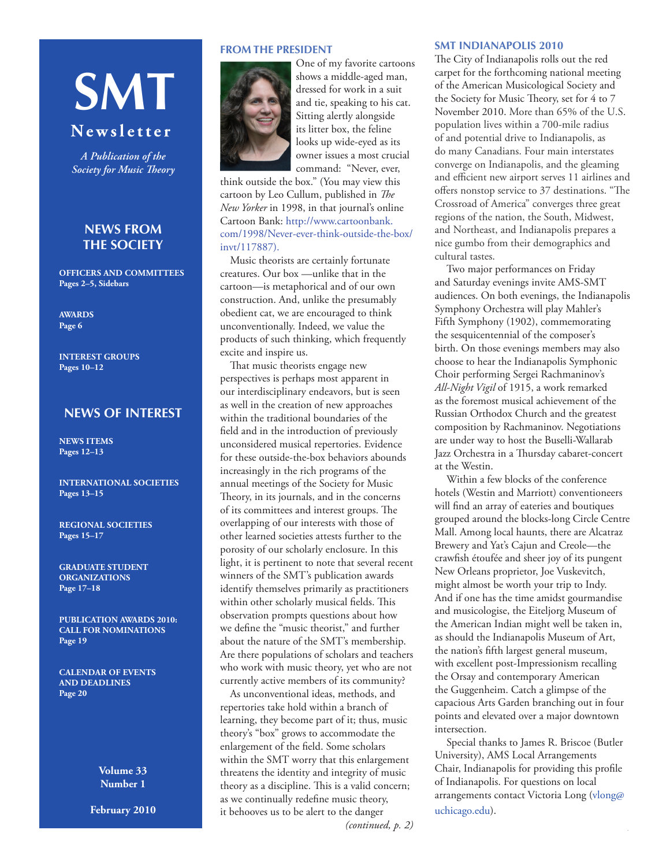# **SMT**

# **N e w s l e t t e r**

*A Publication of the Society for Music Theory*

# **News From the Society**

**Officers and Committees Pages 2–5, Sidebars**

**[AWARDS](#page-5-0) Page 6**

**[Interest Groups](#page-5-0) Pages 10–12**

# **NEWS OF INTEREST**

**NEWS [ITEMS](#page-11-0) Pages 12–13**

**[INTERNATIONAL SOCIETIES](#page-12-0) Pages 13–15**

**[REGIONAL SOCIETIES](#page-14-0) Pages 15–17**

**GRADUATE [STUDENT](#page-16-0) [ORGANIZATIONS](#page-16-0) Page 17–18**

**[PUBLICATION AWARDS 2010:](#page-18-0) [CALL FOR NOMINATIONS](#page-18-0) Page 19**

**[CALENDAR OF EVENTS](#page-19-0) AND [DEADLINES](#page-19-0) Page 20**

> **Volume 33 Number 1**

**February 2010**

# **FROM THE PRESIDENT**



shows a middle-aged man, dressed for work in a suit and tie, speaking to his cat. Sitting alertly alongside its litter box, the feline looks up wide-eyed as its owner issues a most crucial command: "Never, ever,

One of my favorite cartoons

think outside the box." (You may view this cartoon by Leo Cullum, published in *The New Yorker* in 1998, in that journal's online Cartoon Bank: [http://www.cartoonbank.](http://www.cartoonbank.com/1998/Never-ever-think-outside-the-box/invt/117887.) [com/1998/Never-ever-think-outside-the-box/](http://www.cartoonbank.com/1998/Never-ever-think-outside-the-box/invt/117887.) [invt/117887\)](http://www.cartoonbank.com/1998/Never-ever-think-outside-the-box/invt/117887.).

Music theorists are certainly fortunate creatures. Our box —unlike that in the cartoon—is metaphorical and of our own construction. And, unlike the presumably obedient cat, we are encouraged to think unconventionally. Indeed, we value the products of such thinking, which frequently excite and inspire us.

That music theorists engage new perspectives is perhaps most apparent in our interdisciplinary endeavors, but is seen as well in the creation of new approaches within the traditional boundaries of the field and in the introduction of previously unconsidered musical repertories. Evidence for these outside-the-box behaviors abounds increasingly in the rich programs of the annual meetings of the Society for Music Theory, in its journals, and in the concerns of its committees and interest groups. The overlapping of our interests with those of other learned societies attests further to the porosity of our scholarly enclosure. In this light, it is pertinent to note that several recent winners of the SMT's publication awards identify themselves primarily as practitioners within other scholarly musical fields. This observation prompts questions about how we define the "music theorist," and further about the nature of the SMT's membership. [Are there populations of scholars and teachers]( http://www.cartoonbank.com/1998/Never-ever-think-outside-the-box/invt/117887)  who work with music theory, yet who are not currently active members of its community?

As unconventional ideas, methods, and repertories take hold within a branch of learning, they become part of it; thus, music theory's "box" grows to accommodate the enlargement of the field. Some scholars within the SMT worry that this enlargement threatens the identity and integrity of music theory as a discipline. This is a valid concern; as we continually redefine music theory, it behooves us to be alert to the danger

#### *(continued, p. 2)*

#### **SMT INDIANAPOLIS 2010**

The City of Indianapolis rolls out the red carpet for the forthcoming national meeting of the American Musicological Society and the Society for Music Theory, set for 4 to 7 November 2010. More than 65% of the U.S. population lives within a 700-mile radius of and potential drive to Indianapolis, as do many Canadians. Four main interstates converge on Indianapolis, and the gleaming and efficient new airport serves 11 airlines and offers nonstop service to 37 destinations. "The Crossroad of America" converges three great regions of the nation, the South, Midwest, and Northeast, and Indianapolis prepares a nice gumbo from their demographics and cultural tastes.

Two major performances on Friday and Saturday evenings invite AMS-SMT audiences. On both evenings, the Indianapolis Symphony Orchestra will play Mahler's Fifth Symphony (1902), commemorating the sesquicentennial of the composer's birth. On those evenings members may also choose to hear the Indianapolis Symphonic Choir performing Sergei Rachmaninov's *All-Night Vigil* of 1915, a work remarked as the foremost musical achievement of the Russian Orthodox Church and the greatest composition by Rachmaninov. Negotiations are under way to host the Buselli-Wallarab Jazz Orchestra in a Thursday cabaret-concert at the Westin.

Within a few blocks of the conference hotels (Westin and Marriott) conventioneers will find an array of eateries and boutiques grouped around the blocks-long Circle Centre Mall. Among local haunts, there are Alcatraz Brewery and Yat's Cajun and Creole—the crawfish étoufée and sheer joy of its pungent New Orleans proprietor, Joe Vuskevitch, might almost be worth your trip to Indy. And if one has the time amidst gourmandise and musicologise, the Eiteljorg Museum of the American Indian might well be taken in, as should the Indianapolis Museum of Art, the nation's fifth largest general museum, with excellent post-Impressionism recalling the Orsay and contemporary American the Guggenheim. Catch a glimpse of the capacious Arts Garden branching out in four points and elevated over a major downtown intersection.

Special thanks to James R. Briscoe (Butler University), AMS Local Arrangements Chair, Indianapolis for providing this profile of Indianapolis. For questions on local arrangements contact Victoria Long (vlong@ uchicago.edu).

Ĩ.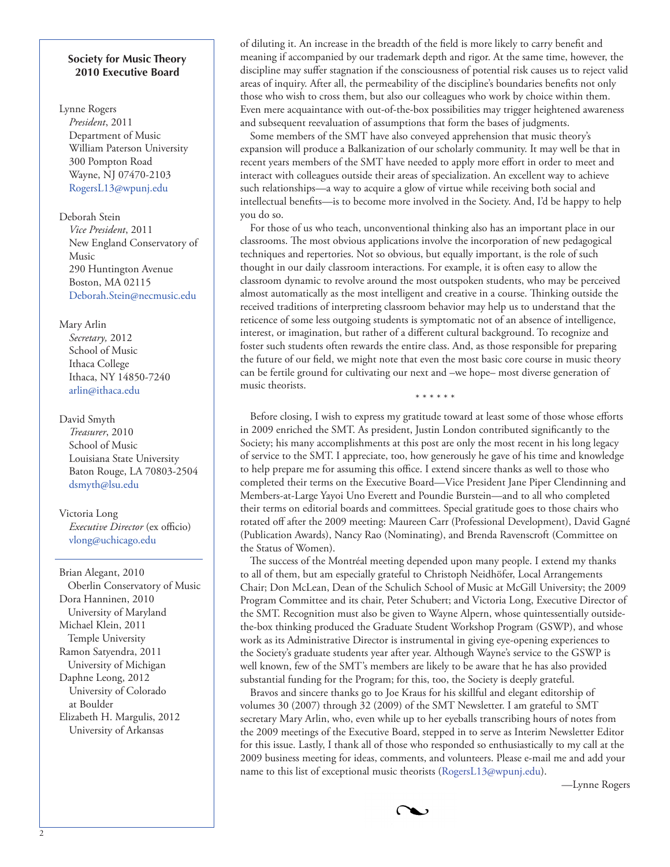# **Society for Music Theory 2010 Executive Board**

#### Lynne Rogers

*President*, 2011 Department of Music William Paterson University 300 Pompton Road Wayne, NJ 07470-2103 [RogersL13@wpunj.edu](mailto:RogersL13@wpunj.edu)

#### Deborah Stein

*Vice President*, 2011 New England Conservatory of Music 290 Huntington Avenue Boston, MA 02115 Deborah.Stein@necmusic.edu

# Mary Arlin

*Secretary,* 2012 School of Music Ithaca College Ithaca, NY 14850-7240 arlin@ithac[a.edu](mailto:arlin@ithaca.edu)

#### David Smyth

*Treasurer*, 2010 School of Music Louisiana State University Baton Rouge, LA 70803-2504 [dsmyth@lsu.edu](mailto:dsmyth@lsu.edu)

# Victoria Long *Executive Director* (ex officio) [vlong@uchicago.edu](mailto:vlong@uchicago.edu)

Brian Alegant, 2010 Oberlin Conservatory of Music Dora Hanninen, 2010 University of Maryland Michael Klein, 2011 Temple University Ramon Satyendra, 2011 University of Michigan Daphne Leong, 2012 University of Colorado at Boulder Elizabeth H. Margulis, 2012 University of Arkansas

of diluting it. An increase in the breadth of the field is more likely to carry benefit and meaning if accompanied by our trademark depth and rigor. At the same time, however, the discipline may suffer stagnation if the consciousness of potential risk causes us to reject valid areas of inquiry. After all, the permeability of the discipline's boundaries benefits not only those who wish to cross them, but also our colleagues who work by choice within them. Even mere acquaintance with out-of-the-box possibilities may trigger heightened awareness and subsequent reevaluation of assumptions that form the bases of judgments.

Some members of the SMT have also conveyed apprehension that music theory's expansion will produce a Balkanization of our scholarly community. It may well be that in recent years members of the SMT have needed to apply more effort in order to meet and interact with colleagues outside their areas of specialization. An excellent way to achieve such relationships—a way to acquire a glow of virtue while receiving both social and intellectual benefits—is to become more involved in the Society. And, I'd be happy to help you do so.

For those of us who teach, unconventional thinking also has an important place in our classrooms. The most obvious applications involve the incorporation of new pedagogical techniques and repertories. Not so obvious, but equally important, is the role of such thought in our daily classroom interactions. For example, it is often easy to allow the classroom dynamic to revolve around the most outspoken students, who may be perceived almost automatically as the most intelligent and creative in a course. Thinking outside the received traditions of interpreting classroom behavior may help us to understand that the reticence of some less outgoing students is symptomatic not of an absence of intelligence, interest, or imagination, but rather of a different cultural background. To recognize and foster such students often rewards the entire class. And, as those responsible for preparing the future of our field, we might note that even the most basic core course in music theory can be fertile ground for cultivating our next and –we hope– most diverse generation of music theorists.

\* \* \* \* \* \*

Before closing, I wish to express my gratitude toward at least some of those whose efforts in 2009 enriched the SMT. As president, Justin London contributed significantly to the Society; his many accomplishments at this post are only the most recent in his long legacy of service to the SMT. I appreciate, too, how generously he gave of his time and knowledge to help prepare me for assuming this office. I extend sincere thanks as well to those who completed their terms on the Executive Board—Vice President Jane Piper Clendinning and Members-at-Large Yayoi Uno Everett and Poundie Burstein—and to all who completed their terms on editorial boards and committees. Special gratitude goes to those chairs who rotated off after the 2009 meeting: Maureen Carr (Professional Development), David Gagné (Publication Awards), Nancy Rao (Nominating), and Brenda Ravenscroft (Committee on the Status of Women).

The success of the Montréal meeting depended upon many people. I extend my thanks to all of them, but am especially grateful to Christoph Neidhöfer, Local Arrangements Chair; Don McLean, Dean of the Schulich School of Music at McGill University; the 2009 Program Committee and its chair, Peter Schubert; and Victoria Long, Executive Director of the SMT. Recognition must also be given to Wayne Alpern, whose quintessentially outsidethe-box thinking produced the Graduate Student Workshop Program (GSWP), and whose work as its Administrative Director is instrumental in giving eye-opening experiences to the Society's graduate students year after year. Although Wayne's service to the GSWP is well known, few of the SMT's members are likely to be aware that he has also provided substantial funding for the Program; for this, too, the Society is deeply grateful.

Bravos and sincere thanks go to Joe Kraus for his skillful and elegant editorship of volumes 30 (2007) through 32 (2009) of the SMT Newsletter. I am grateful to SMT secretary Mary Arlin, who, even while up to her eyeballs transcribing hours of notes from the 2009 meetings of the Executive Board, stepped in to serve as Interim Newsletter Editor for this issue. Lastly, I thank all of those who responded so enthusiastically to my call at the 2009 business meeting for ideas, comments, and volunteers. Please e-mail me and add your name to this list of exceptional music theorists (RogersL13@wpunj.edu).

—Lynne Rogers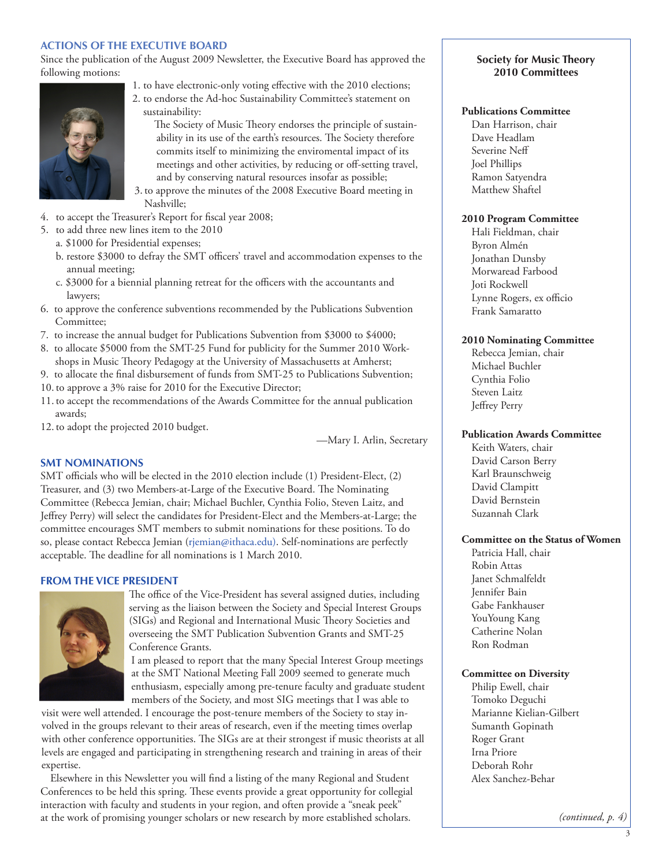# **ACTIONS OF THE EXECUTIVE BOARD**

Since the publication of the August 2009 Newsletter, the Executive Board has approved the following motions:



- 1. to have electronic-only voting effective with the 2010 elections; 2. to endorse the Ad-hoc Sustainability Committee's statement on sustainability:
	- The Society of Music Theory endorses the principle of sustainability in its use of the earth's resources. The Society therefore commits itself to minimizing the enviromental impact of its meetings and other activities, by reducing or off-setting travel, and by conserving natural resources insofar as possible;
- 3.to approve the minutes of the 2008 Executive Board meeting in Nashville;
- 4. to accept the Treasurer's Report for fiscal year 2008;
- 5. to add three new lines item to the 2010
	- a. \$1000 for Presidential expenses;
	- b. restore \$3000 to defray the SMT officers' travel and accommodation expenses to the annual meeting;
	- c. \$3000 for a biennial planning retreat for the officers with the accountants and lawyers;
- 6. to approve the conference subventions recommended by the Publications Subvention Committee;
- 7. to increase the annual budget for Publications Subvention from \$3000 to \$4000;
- 8. to allocate \$5000 from the SMT-25 Fund for publicity for the Summer 2010 Workshops in Music Theory Pedagogy at the University of Massachusetts at Amherst;
- 9. to allocate the final disbursement of funds from SMT-25 to Publications Subvention;
- 10.to approve a 3% raise for 2010 for the Executive Director;
- 11.to accept the recommendations of the Awards Committee for the annual publication awards;
- 12.to adopt the projected 2010 budget.

—Mary I. Arlin, Secretary

# **SMT NOMINATIONS**

SMT officials who will be elected in the 2010 election include (1) President-Elect, (2) Treasurer, and (3) two Members-at-Large of the Executive Board. The Nominating Committee (Rebecca Jemian, chair; Michael Buchler, Cynthia Folio, Steven Laitz, and Jeffrey Perry) will select the candidates for President-Elect and the Members-at-Large; the committee encourages SMT members to submit nominations for these positions. To do so, please contact Rebecca Jemian (rjemian@ithaca.edu). Self-nominations are perfectly acceptable. The deadline for all nominations is 1 March 2010.

# **FROM THE VICE PRESIDENT**



The office of the Vice-President has several assigned duties, including serving as the liaison between the Society and Special Interest Groups (SIGs) and Regional and International Music Theory Societies and overseeing the SMT Publication Subvention Grants and SMT-25 Conference Grants.

I am pleased to report that the many Special Interest Group meetings at the SMT National Meeting Fall 2009 seemed to generate much enthusiasm, especially among pre-tenure faculty and graduate student members of the Society, and most SIG meetings that I was able to

visit were well attended. I encourage the post-tenure members of the Society to stay involved in the groups relevant to their areas of research, even if the meeting times overlap with other conference opportunities. The SIGs are at their strongest if music theorists at all levels are engaged and participating in strengthening research and training in areas of their expertise.

Elsewhere in this Newsletter you will find a listing of the many Regional and Student Conferences to be held this spring. These events provide a great opportunity for collegial interaction with faculty and students in your region, and often provide a "sneak peek" at the work of promising younger scholars or new research by more established scholars.

# **Society for Music Theory 2010 Committees**

#### **Publications Committee**

Dan Harrison, chair Dave Headlam Severine Neff Joel Phillips Ramon Satyendra Matthew Shaftel

#### **2010 Program Committee**

Hali Fieldman, chair Byron Almén Jonathan Dunsby Morwaread Farbood Joti Rockwell Lynne Rogers, ex officio Frank Samaratto

#### **2010 Nominating Committee**

Rebecca Jemian, chair Michael Buchler Cynthia Folio Steven Laitz Jeffrey Perry

# **Publication Awards Committee**

Keith Waters, chair David Carson Berry Karl Braunschweig David Clampitt David Bernstein Suzannah Clark

# **Committee on the Status of Women**

Patricia Hall, chair Robin Attas Janet Schmalfeldt Jennifer Bain Gabe Fankhauser YouYoung Kang Catherine Nolan Ron Rodman

# **Committee on Diversity**

Philip Ewell, chair Tomoko Deguchi Marianne Kielian-Gilbert Sumanth Gopinath Roger Grant Irna Priore Deborah Rohr Alex Sanchez-Behar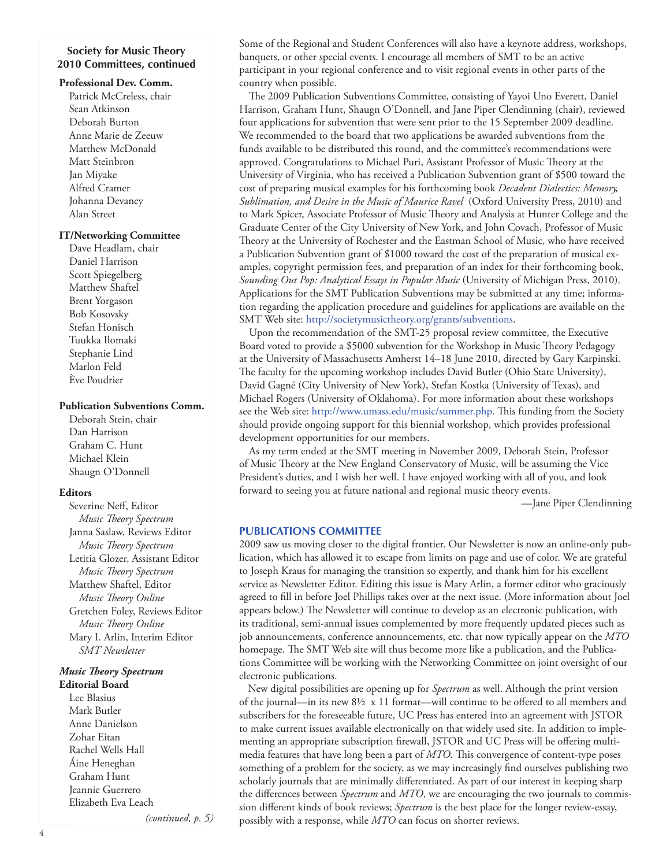# **Society for Music Theory 2010 Committees, continued**

#### **Professional Dev. Comm.**

Patrick McCreless, chair Sean Atkinson Deborah Burton Anne Marie de Zeeuw Matthew McDonald Matt Steinbron Jan Miyake Alfred Cramer Johanna Devaney Alan Street

# **IT/Networking Committee**

Dave Headlam, chair Daniel Harrison Scott Spiegelberg Matthew Shaftel Brent Yorgason Bob Kosovsky Stefan Honisch Tuukka Ilomaki Stephanie Lind Marlon Feld Ève Poudrier

#### **Publication Subventions Comm.**

Deborah Stein, chair Dan Harrison Graham C. Hunt Michael Klein Shaugn O'Donnell

#### **Editors**

Severine Neff, Editor *Music Theory Spectrum* Janna Saslaw, Reviews Editor *Music Theory Spectrum* Letitia Glozer, Assistant Editor *Music Theory Spectrum*  Matthew Shaftel, Editor *Music Theory Online* Gretchen Foley, Reviews Editor *Music Theory Online* Mary I. Arlin, Interim Editor *SMT Newsletter*

# *Music Theory Spectrum*

**Editorial Board** Lee Blasius Mark Butler Anne Danielson Zohar Eitan Rachel Wells Hall Áine Heneghan Graham Hunt Jeannie Guerrero Elizabeth Eva Leach

*(continued, p. 5)*

Some of the Regional and Student Conferences will also have a keynote address, workshops, banquets, or other special events. I encourage all members of SMT to be an active participant in your regional conference and to visit regional events in other parts of the country when possible.

The 2009 Publication Subventions Committee, consisting of Yayoi Uno Everett, Daniel Harrison, Graham Hunt, Shaugn O'Donnell, and Jane Piper Clendinning (chair), reviewed four applications for subvention that were sent prior to the 15 September 2009 deadline. We recommended to the board that two applications be awarded subventions from the funds available to be distributed this round, and the committee's recommendations were approved. Congratulations to Michael Puri, Assistant Professor of Music Theory at the University of Virginia, who has received a Publication Subvention grant of \$500 toward the cost of preparing musical examples for his forthcoming book *Decadent Dialectics: Memory, Sublimation, and Desire in the Music of Maurice Ravel* (Oxford University Press, 2010) and to Mark Spicer, Associate Professor of Music Theory and Analysis at Hunter College and the Graduate Center of the City University of New York, and John Covach, Professor of Music Theory at the University of Rochester and the Eastman School of Music, who have received a Publication Subvention grant of \$1000 toward the cost of the preparation of musical examples, copyright permission fees, and preparation of an index for their forthcoming book, *Sounding Out Pop: Analytical Essays in Popular Music* (University of Michigan Press, 2010). Applications for the SMT Publication Subventions may be submitted at any time; information regarding the application procedure and guidelines for applications are available on the SMT Web site: http://societymusictheory.org/grants/subventions.

Upon the recommendation of the SMT-25 proposal review committee, the Executive Board voted to provide a \$5000 subvention for the Workshop in Music Theory Pedagogy at the University of Massachusetts Amherst 14–18 June 2010, directed by Gary Karpinski. The faculty for the upcoming workshop includes David Butler (Ohio State University), David Gagné (City University of New York), Stefan Kostka (University of Texas), and Michael Rogers (University of Oklahoma). For more information about these workshops see the Web site: [http://www.umass.edu/music/summer.php.](http://www.umass.edu/music/summer.php) This funding from the Society should provide ongoing support for this biennial workshop, which provides professional development opportunities for our members.

As my term ended at the SMT meeting in November 2009, Deborah Stein, Professor of Music Theory at the New England Conservatory of Music, will be assuming the Vice President's duties, and I wish her well. I have enjoyed working with all of you, and look forward to seeing you at future national and regional music theory events.

—Jane Piper Clendinning

#### **PUBLICATIONS COMMITTEE**

2009 saw us moving closer to the digital frontier. Our Newsletter is now an online-only publication, which has allowed it to escape from limits on page and use of color. We are grateful to Joseph Kraus for managing the transition so expertly, and thank him for his excellent service as Newsletter Editor. Editing this issue is Mary Arlin, a former editor who graciously agreed to fill in before Joel Phillips takes over at the next issue. (More information about Joel appears below.) The Newsletter will continue to develop as an electronic publication, with its traditional, semi-annual issues complemented by more frequently updated pieces such as job announcements, conference announcements, etc. that now typically appear on the *MTO* homepage. The SMT Web site will thus become more like a publication, and the Publications Committee will be working with the Networking Committee on joint oversight of our electronic publications.

New digital possibilities are opening up for *Spectrum* as well. Although the print version of the journal—in its new  $8\frac{1}{2} \times 11$  format—will continue to be offered to all members and subscribers for the foreseeable future, UC Press has entered into an agreement with JSTOR to make current issues available electronically on that widely used site. In addition to implementing an appropriate subscription firewall, JSTOR and UC Press will be offering multimedia features that have long been a part of *MTO*. This convergence of content-type poses something of a problem for the society, as we may increasingly find ourselves publishing two scholarly journals that are minimally differentiated. As part of our interest in keeping sharp the differences between *Spectrum* and *MTO*, we are encouraging the two journals to commission different kinds of book reviews; *Spectrum* is the best place for the longer review-essay, possibly with a response, while *MTO* can focus on shorter reviews.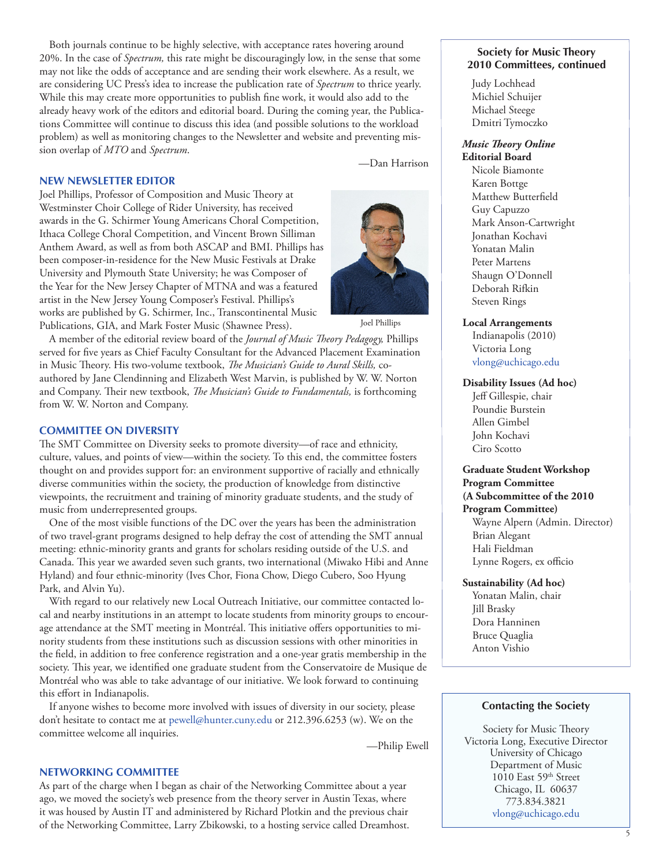Both journals continue to be highly selective, with acceptance rates hovering around 20%. In the case of *Spectrum,* this rate might be discouragingly low, in the sense that some may not like the odds of acceptance and are sending their work elsewhere. As a result, we are considering UC Press's idea to increase the publication rate of *Spectrum* to thrice yearly. While this may create more opportunities to publish fine work, it would also add to the already heavy work of the editors and editorial board. During the coming year, the Publications Committee will continue to discuss this idea (and possible solutions to the workload problem) as well as monitoring changes to the Newsletter and website and preventing mission overlap of *MTO* and *Spectrum*.

—Dan Harrison

# **NEW NEWSLETTER EDITOR**

Joel Phillips, Professor of Composition and Music Theory at Westminster Choir College of Rider University, has received awards in the G. Schirmer Young Americans Choral Competition, Ithaca College Choral Competition, and Vincent Brown Silliman Anthem Award, as well as from both ASCAP and BMI. Phillips has been composer-in-residence for the New Music Festivals at Drake University and Plymouth State University; he was Composer of the Year for the New Jersey Chapter of MTNA and was a featured artist in the New Jersey Young Composer's Festival. Phillips's works are published by G. Schirmer, Inc., Transcontinental Music Publications, GIA, and Mark Foster Music (Shawnee Press).



Joel Phillips

A member of the editorial review board of the *Journal of Music Theory Pedagogy,* Phillips served for five years as Chief Faculty Consultant for the Advanced Placement Examination in Music Theory. His two-volume textbook, *The Musician's Guide to Aural Skills,* coauthored by Jane Clendinning and Elizabeth West Marvin, is published by W. W. Norton and Company. Their new textbook, *The Musician's Guide to Fundamentals,* is forthcoming from W. W. Norton and Company.

#### **COMMITTEE ON DIVERSITY**

The SMT Committee on Diversity seeks to promote diversity—of race and ethnicity, culture, values, and points of view—within the society. To this end, the committee fosters thought on and provides support for: an environment supportive of racially and ethnically diverse communities within the society, the production of knowledge from distinctive viewpoints, the recruitment and training of minority graduate students, and the study of music from underrepresented groups.

One of the most visible functions of the DC over the years has been the administration of two travel-grant programs designed to help defray the cost of attending the SMT annual meeting: ethnic-minority grants and grants for scholars residing outside of the U.S. and Canada. This year we awarded seven such grants, two international (Miwako Hibi and Anne Hyland) and four ethnic-minority (Ives Chor, Fiona Chow, Diego Cubero, Soo Hyung Park, and Alvin Yu).

With regard to our relatively new Local Outreach Initiative, our committee contacted local and nearby institutions in an attempt to locate students from minority groups to encourage attendance at the SMT meeting in Montréal. This initiative offers opportunities to minority students from these institutions such as discussion sessions with other minorities in the field, in addition to free conference registration and a one-year gratis membership in the society. This year, we identified one graduate student from the Conservatoire de Musique de Montréal who was able to take advantage of our initiative. We look forward to continuing this effort in Indianapolis.

If anyone wishes to become more involved with issues of diversity in our society, please don't hesitate to contact me at [pewell@hunter.cuny.edu](mailto:pewell@hunter.cuny.edu) or 212.396.6253 (w). We on the committee welcome all inquiries.

—Philip Ewell

#### **NETWORKING COMMITTEE**

As part of the charge when I began as chair of the Networking Committee about a year ago, we moved the society's web presence from the theory server in Austin Texas, where it was housed by Austin IT and administered by Richard Plotkin and the previous chair of the Networking Committee, Larry Zbikowski, to a hosting service called Dreamhost.

#### **Society for Music Theory 2010 Committees, continued**

Judy Lochhead Michiel Schuijer Michael Steege Dmitri Tymoczko

#### *Music Theory Online* **Editorial Board**

Nicole Biamonte Karen Bottge Matthew Butterfield Guy Capuzzo Mark Anson-Cartwright Jonathan Kochavi Yonatan Malin Peter Martens Shaugn O'Donnell Deborah Rifkin Steven Rings

#### **Local Arrangements**

Indianapolis (2010) Victoria Long [vlong@uchicago.edu](mailto:vlong@uchicago.edu)

#### **Disability Issues (Ad hoc)**

Jeff Gillespie, chair Poundie Burstein Allen Gimbel John Kochavi Ciro Scotto

#### **Graduate Student Workshop Program Committee (A Subcommittee of the 2010**

**Program Committee)** Wayne Alpern (Admin. Director) Brian Alegant Hali Fieldman Lynne Rogers, ex officio

# **Sustainability (Ad hoc)**

Yonatan Malin, chair Jill Brasky Dora Hanninen Bruce Quaglia Anton Vishio

#### **Contacting the Society**

Society for Music Theory Victoria Long, Executive Director University of Chicago Department of Music  $1010$  East $59^{\rm th}$  Street Chicago, IL 60637 773.834.3821 [vlong@uchicago.edu](mailto:vlong@uchicago.edu)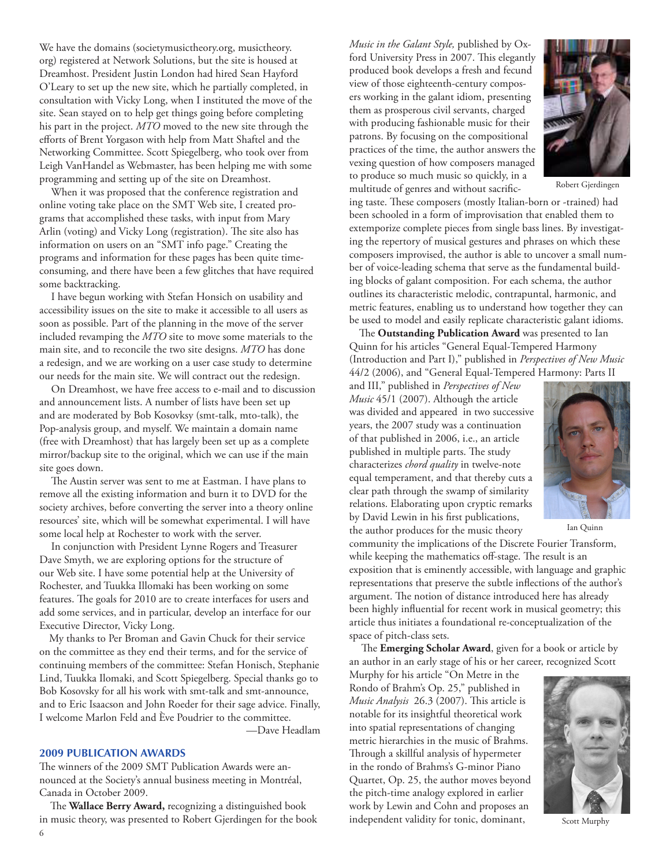<span id="page-5-0"></span>We have the domains (societymusictheory.org, musictheory. org) registered at Network Solutions, but the site is housed at Dreamhost. President Justin London had hired Sean Hayford O'Leary to set up the new site, which he partially completed, in consultation with Vicky Long, when I instituted the move of the site. Sean stayed on to help get things going before completing his part in the project. *MTO* moved to the new site through the efforts of Brent Yorgason with help from Matt Shaftel and the Networking Committee. Scott Spiegelberg, who took over from Leigh VanHandel as Webmaster, has been helping me with some programming and setting up of the site on Dreamhost.

When it was proposed that the conference registration and online voting take place on the SMT Web site, I created programs that accomplished these tasks, with input from Mary Arlin (voting) and Vicky Long (registration). The site also has information on users on an "SMT info page." Creating the programs and information for these pages has been quite timeconsuming, and there have been a few glitches that have required some backtracking.

I have begun working with Stefan Honsich on usability and accessibility issues on the site to make it accessible to all users as soon as possible. Part of the planning in the move of the server included revamping the *MTO* site to move some materials to the main site, and to reconcile the two site designs. *MTO* has done a redesign, and we are working on a user case study to determine our needs for the main site. We will contract out the redesign.

On Dreamhost, we have free access to e-mail and to discussion and announcement lists. A number of lists have been set up and are moderated by Bob Kosovksy (smt-talk, mto-talk), the Pop-analysis group, and myself. We maintain a domain name (free with Dreamhost) that has largely been set up as a complete mirror/backup site to the original, which we can use if the main site goes down.

The Austin server was sent to me at Eastman. I have plans to remove all the existing information and burn it to DVD for the society archives, before converting the server into a theory online resources' site, which will be somewhat experimental. I will have some local help at Rochester to work with the server.

In conjunction with President Lynne Rogers and Treasurer Dave Smyth, we are exploring options for the structure of our Web site. I have some potential help at the University of Rochester, and Tuukka Illomaki has been working on some features. The goals for 2010 are to create interfaces for users and add some services, and in particular, develop an interface for our Executive Director, Vicky Long.

My thanks to Per Broman and Gavin Chuck for their service on the committee as they end their terms, and for the service of continuing members of the committee: Stefan Honisch, Stephanie Lind, Tuukka Ilomaki, and Scott Spiegelberg. Special thanks go to Bob Kosovsky for all his work with smt-talk and smt-announce, and to Eric Isaacson and John Roeder for their sage advice. Finally, I welcome Marlon Feld and Ève Poudrier to the committee.

—Dave Headlam

# **2009 Publication Awards**

The winners of the 2009 SMT Publication Awards were announced at the Society's annual business meeting in Montréal, Canada in October 2009.

 The **Wallace Berry Award,** recognizing a distinguished book in music theory, was presented to Robert Gjerdingen for the book *Music in the Galant Style,* published by Oxford University Press in 2007. This elegantly produced book develops a fresh and fecund view of those eighteenth-century composers working in the galant idiom, presenting them as prosperous civil servants, charged with producing fashionable music for their patrons. By focusing on the compositional practices of the time, the author answers the vexing question of how composers managed to produce so much music so quickly, in a multitude of genres and without sacrific-



Robert Gjerdingen

ing taste. These composers (mostly Italian-born or -trained) had been schooled in a form of improvisation that enabled them to extemporize complete pieces from single bass lines. By investigating the repertory of musical gestures and phrases on which these composers improvised, the author is able to uncover a small number of voice-leading schema that serve as the fundamental building blocks of galant composition. For each schema, the author outlines its characteristic melodic, contrapuntal, harmonic, and metric features, enabling us to understand how together they can be used to model and easily replicate characteristic galant idioms.

The **Outstanding Publication Award** was presented to Ian Quinn for his articles "General Equal-Tempered Harmony (Introduction and Part I)," published in *Perspectives of New Music*  44/2 (2006), and "General Equal-Tempered Harmony: Parts II

and III," published in *Perspectives of New Music* 45/1 (2007). Although the article was divided and appeared in two successive years, the 2007 study was a continuation of that published in 2006, i.e., an article published in multiple parts. The study characterizes *chord quality* in twelve-note equal temperament, and that thereby cuts a clear path through the swamp of similarity relations. Elaborating upon cryptic remarks by David Lewin in his first publications, the author produces for the music theory



Ian Quinn

community the implications of the Discrete Fourier Transform, while keeping the mathematics off-stage. The result is an exposition that is eminently accessible, with language and graphic representations that preserve the subtle inflections of the author's argument. The notion of distance introduced here has already been highly influential for recent work in musical geometry; this article thus initiates a foundational re-conceptualization of the space of pitch-class sets.

The **Emerging Scholar Award**, given for a book or article by an author in an early stage of his or her career, recognized Scott

Murphy for his article "On Metre in the Rondo of Brahm's Op. 25," published in *Music Analysis* 26.3 (2007). This article is notable for its insightful theoretical work into spatial representations of changing metric hierarchies in the music of Brahms. Through a skillful analysis of hypermeter in the rondo of Brahms's G-minor Piano Quartet, Op. 25, the author moves beyond the pitch-time analogy explored in earlier work by Lewin and Cohn and proposes an independent validity for tonic, dominant,



Scott Murphy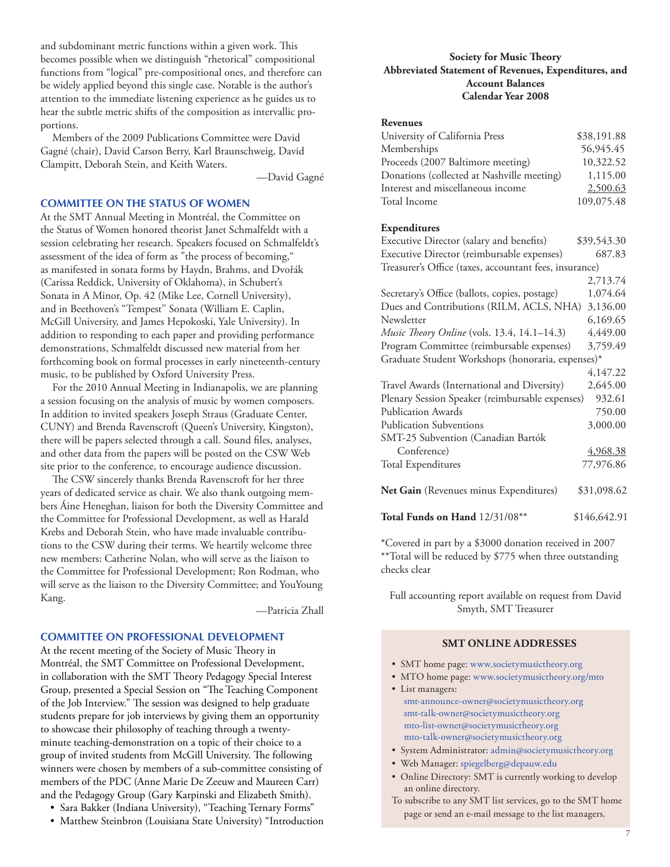and subdominant metric functions within a given work. This becomes possible when we distinguish "rhetorical" compositional functions from "logical" pre-compositional ones, and therefore can be widely applied beyond this single case. Notable is the author's attention to the immediate listening experience as he guides us to hear the subtle metric shifts of the composition as intervallic proportions.

Members of the 2009 Publications Committee were David Gagné (chair), David Carson Berry, Karl Braunschweig, David Clampitt, Deborah Stein, and Keith Waters.

—David Gagné

# **COMMITTEE ON THE STATUS OF WOMEN**

At the SMT Annual Meeting in Montréal, the Committee on the Status of Women honored theorist Janet Schmalfeldt with a session celebrating her research. Speakers focused on Schmalfeldt's assessment of the idea of form as "the process of becoming," as manifested in sonata forms by Haydn, Brahms, and Dvořák (Carissa Reddick, University of Oklahoma), in Schubert's Sonata in A Minor, Op. 42 (Mike Lee, Cornell University), and in Beethoven's "Tempest'' Sonata (William E. Caplin, McGill University, and James Hepokoski, Yale University). In addition to responding to each paper and providing performance demonstrations, Schmalfeldt discussed new material from her forthcoming book on formal processes in early nineteenth-century music, to be published by Oxford University Press.

For the 2010 Annual Meeting in Indianapolis, we are planning a session focusing on the analysis of music by women composers. In addition to invited speakers Joseph Straus (Graduate Center, CUNY) and Brenda Ravenscroft (Queen's University, Kingston), there will be papers selected through a call. Sound files, analyses, and other data from the papers will be posted on the CSW Web site prior to the conference, to encourage audience discussion.

The CSW sincerely thanks Brenda Ravenscroft for her three years of dedicated service as chair. We also thank outgoing members Áine Heneghan, liaison for both the Diversity Committee and the Committee for Professional Development, as well as Harald Krebs and Deborah Stein, who have made invaluable contributions to the CSW during their terms. We heartily welcome three new members: Catherine Nolan, who will serve as the liaison to the Committee for Professional Development; Ron Rodman, who will serve as the liaison to the Diversity Committee; and YouYoung Kang.

—Patricia Zhall

#### **COMMITTEE ON PROFESSIONAL DEVELOPMENT**

At the recent meeting of the Society of Music Theory in Montréal, the SMT Committee on Professional Development, in collaboration with the SMT Theory Pedagogy Special Interest Group, presented a Special Session on "The Teaching Component of the Job Interview." The session was designed to help graduate students prepare for job interviews by giving them an opportunity to showcase their philosophy of teaching through a twentyminute teaching-demonstration on a topic of their choice to a group of invited students from McGill University. The following winners were chosen by members of a sub-committee consisting of members of the PDC (Anne Marie De Zeeuw and Maureen Carr) and the Pedagogy Group (Gary Karpinski and Elizabeth Smith).

- Sara Bakker (Indiana University), "Teaching Ternary Forms"
- Matthew Steinbron (Louisiana State University) "Introduction

# **Society for Music Theory Abbreviated Statement of Revenues, Expenditures, and Account Balances Calendar Year 2008**

#### **Revenues**

| University of California Press             | \$38,191.88 |
|--------------------------------------------|-------------|
| Memberships                                | 56,945.45   |
| Proceeds (2007 Baltimore meeting)          | 10,322.52   |
| Donations (collected at Nashville meeting) | 1,115.00    |
| Interest and miscellaneous income          | 2,500.63    |
| Total Income                               | 109,075.48  |

#### **Expenditures**

| Executive Director (salary and benefits)               | \$39,543.30  |  |
|--------------------------------------------------------|--------------|--|
|                                                        |              |  |
| Executive Director (reimbursable expenses)             | 687.83       |  |
| Treasurer's Office (taxes, accountant fees, insurance) |              |  |
|                                                        | 2,713.74     |  |
| Secretary's Office (ballots, copies, postage)          | 1,074.64     |  |
| Dues and Contributions (RILM, ACLS, NHA)               | 3,136.00     |  |
| Newsletter                                             | 6,169.65     |  |
| Music Theory Online (vols. 13.4, 14.1-14.3)            | 4,449.00     |  |
| Program Committee (reimbursable expenses)              | 3,759.49     |  |
| Graduate Student Workshops (honoraria, expenses)*      |              |  |
|                                                        | 4,147.22     |  |
| Travel Awards (International and Diversity)            | 2,645.00     |  |
| Plenary Session Speaker (reimbursable expenses)        | 932.61       |  |
| <b>Publication Awards</b>                              | 750.00       |  |
| <b>Publication Subventions</b>                         | 3,000.00     |  |
| SMT-25 Subvention (Canadian Bartók                     |              |  |
| Conference)                                            | 4,968.38     |  |
| <b>Total Expenditures</b>                              | 77,976.86    |  |
| Net Gain (Revenues minus Expenditures)                 | \$31,098.62  |  |
| Total Funds on Hand 12/31/08**                         | \$146,642.91 |  |

\*Covered in part by a \$3000 donation received in 2007 \*\*Total will be reduced by \$775 when three outstanding checks clear

Full accounting report available on request from David Smyth, SMT Treasurer

#### **SMT Online Addresses**

- SMT home page: [www.societymusictheory.org](http://societymusictheory.org/Events/GSWP)
- MTO home page: [www.societymusictheory.org/mto](http://societymusictheory.org/mto)
- List managers: [smt-announce-owner@societymusictheory.org](mailto:smt-announce-owner@societymusictheory.org) [smt-talk-owner@societymusictheory.org](mailto:smt-talk-owner@societymusictheory.org) [mto-list-owner@societymusictheory.org](mailto:mto-list-owner@societymusictheory.org) [mto-talk-owner@societymusictheory.org](mailto:mto-talk-owner@societymusictheory.org)
- System Administrator: [admin@societymusictheory.org](mailto:admin@societymusictheory.org)
- Web Manager: [spiegelberg@depauw.edu](mailto:spiegelberg@depauw.edu)
- Online Directory: SMT is currently working to develop an online directory.
- To subscribe to any SMT list services, go to the SMT home page or send an e-mail message to the list managers.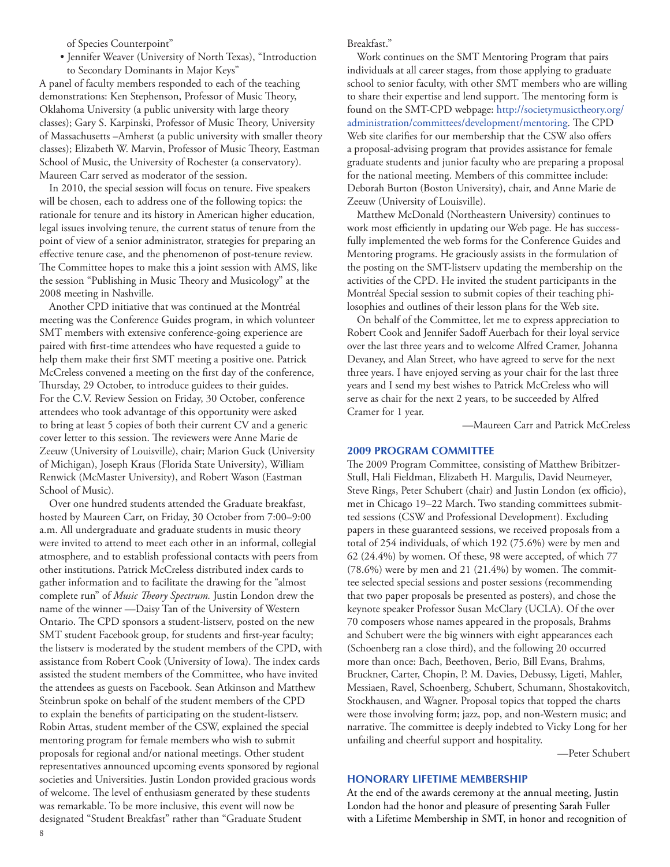of Species Counterpoint"

• Jennifer Weaver (University of North Texas), "Introduction to Secondary Dominants in Major Keys"

A panel of faculty members responded to each of the teaching demonstrations: Ken Stephenson, Professor of Music Theory, Oklahoma University (a public university with large theory classes); Gary S. Karpinski, Professor of Music Theory, University of Massachusetts –Amherst (a public university with smaller theory classes); Elizabeth W. Marvin, Professor of Music Theory, Eastman School of Music, the University of Rochester (a conservatory). Maureen Carr served as moderator of the session.

In 2010, the special session will focus on tenure. Five speakers will be chosen, each to address one of the following topics: the rationale for tenure and its history in American higher education, legal issues involving tenure, the current status of tenure from the point of view of a senior administrator, strategies for preparing an effective tenure case, and the phenomenon of post-tenure review. The Committee hopes to make this a joint session with AMS, like the session "Publishing in Music Theory and Musicology" at the 2008 meeting in Nashville.

Another CPD initiative that was continued at the Montréal meeting was the Conference Guides program, in which volunteer SMT members with extensive conference-going experience are paired with first-time attendees who have requested a guide to help them make their first SMT meeting a positive one. Patrick McCreless convened a meeting on the first day of the conference, Thursday, 29 October, to introduce guidees to their guides. For the C.V. Review Session on Friday, 30 October, conference attendees who took advantage of this opportunity were asked to bring at least 5 copies of both their current CV and a generic cover letter to this session. The reviewers were Anne Marie de Zeeuw (University of Louisville), chair; Marion Guck (University of Michigan), Joseph Kraus (Florida State University), William Renwick (McMaster University), and Robert Wason (Eastman School of Music).

Over one hundred students attended the Graduate breakfast, hosted by Maureen Carr, on Friday, 30 October from 7:00–9:00 a.m. All undergraduate and graduate students in music theory were invited to attend to meet each other in an informal, collegial atmosphere, and to establish professional contacts with peers from other institutions. Patrick McCreless distributed index cards to gather information and to facilitate the drawing for the "almost complete run" of *Music Theory Spectrum.* Justin London drew the name of the winner —Daisy Tan of the University of Western Ontario. The CPD sponsors a student-listserv, posted on the new SMT student Facebook group, for students and first-year faculty; the listserv is moderated by the student members of the CPD, with assistance from Robert Cook (University of Iowa). The index cards assisted the student members of the Committee, who have invited the attendees as guests on Facebook. Sean Atkinson and Matthew Steinbrun spoke on behalf of the student members of the CPD to explain the benefits of participating on the student-listserv. Robin Attas, student member of the CSW, explained the special mentoring program for female members who wish to submit proposals for regional and/or national meetings. Other student representatives announced upcoming events sponsored by regional societies and Universities. Justin London provided gracious words of welcome. The level of enthusiasm generated by these students was remarkable. To be more inclusive, this event will now be designated "Student Breakfast" rather than "Graduate Student

Breakfast."

Work continues on the SMT Mentoring Program that pairs individuals at all career stages, from those applying to graduate school to senior faculty, with other SMT members who are willing to share their expertise and lend support. The mentoring form is found on the SMT-CPD webpage: [http://societymusictheory.org/](http://societymusictheory.org/administration/committees/pdc) [administration/committees/development/mentoring.](http://societymusictheory.org/administration/committees/pdc) The CPD Web site clarifies for our membership that the CSW also offers a proposal-advising program that provides assistance for female graduate students and junior faculty who are preparing a proposal for the national meeting. Members of this committee include: Deborah Burton (Boston University), chair, and Anne Marie de Zeeuw (University of Louisville).

Matthew McDonald (Northeastern University) continues to work most efficiently in updating our Web page. He has successfully implemented the web forms for the Conference Guides and Mentoring programs. He graciously assists in the formulation of the posting on the SMT-listserv updating the membership on the activities of the CPD. He invited the student participants in the Montréal Special session to submit copies of their teaching philosophies and outlines of their lesson plans for the Web site.

On behalf of the Committee, let me to express appreciation to Robert Cook and Jennifer Sadoff Auerbach for their loyal service over the last three years and to welcome Alfred Cramer, Johanna Devaney, and Alan Street, who have agreed to serve for the next three years. I have enjoyed serving as your chair for the last three years and I send my best wishes to Patrick McCreless who will serve as chair for the next 2 years, to be succeeded by Alfred Cramer for 1 year.

—Maureen Carr and Patrick McCreless

#### **2009 PROGRAM COMMITTEE**

The 2009 Program Committee, consisting of Matthew Bribitzer-Stull, Hali Fieldman, Elizabeth H. Margulis, David Neumeyer, Steve Rings, Peter Schubert (chair) and Justin London (ex officio), met in Chicago 19–22 March. Two standing committees submitted sessions (CSW and Professional Development). Excluding papers in these guaranteed sessions, we received proposals from a total of 254 individuals, of which 192 (75.6%) were by men and 62 (24.4%) by women. Of these, 98 were accepted, of which 77 (78.6%) were by men and 21 (21.4%) by women. The committee selected special sessions and poster sessions (recommending that two paper proposals be presented as posters), and chose the keynote speaker Professor Susan McClary (UCLA). Of the over 70 composers whose names appeared in the proposals, Brahms and Schubert were the big winners with eight appearances each (Schoenberg ran a close third), and the following 20 occurred more than once: Bach, Beethoven, Berio, Bill Evans, Brahms, Bruckner, Carter, Chopin, P. M. Davies, Debussy, Ligeti, Mahler, Messiaen, Ravel, Schoenberg, Schubert, Schumann, Shostakovitch, Stockhausen, and Wagner. Proposal topics that topped the charts were those involving form; jazz, pop, and non-Western music; and narrative. The committee is deeply indebted to Vicky Long for her unfailing and cheerful support and hospitality.

—Peter Schubert

# **HONORARY LIFETIME MEMBERSHIP**

At the end of the awards ceremony at the annual meeting, Justin London had the honor and pleasure of presenting Sarah Fuller with a Lifetime Membership in SMT, in honor and recognition of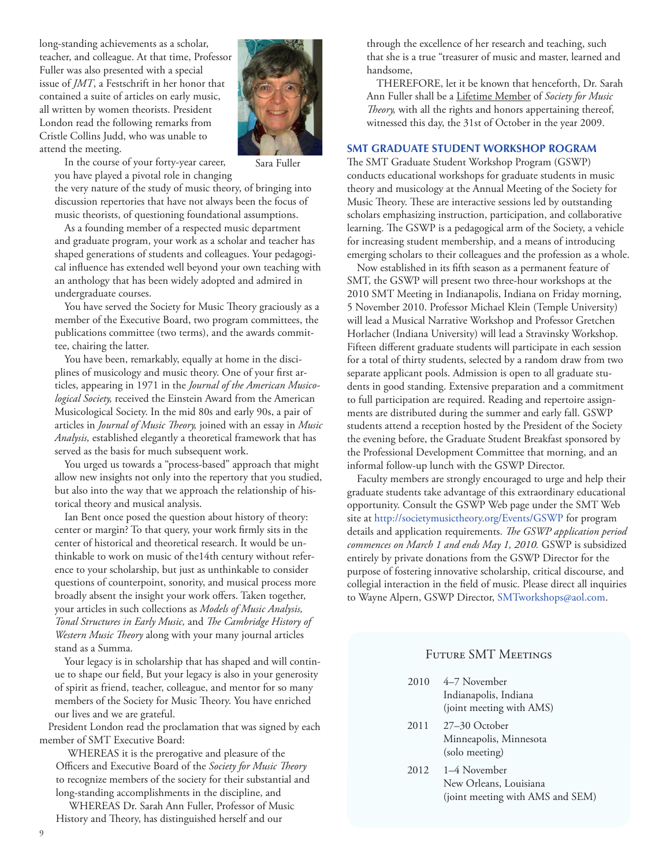long-standing achievements as a scholar, teacher, and colleague. At that time, Professor Fuller was also presented with a special issue of *JMT*, a Festschrift in her honor that contained a suite of articles on early music, all written by women theorists. President London read the following remarks from Cristle Collins Judd, who was unable to attend the meeting.



In the course of your forty-year career, you have played a pivotal role in changing Sara Fuller

the very nature of the study of music theory, of bringing into discussion repertories that have not always been the focus of music theorists, of questioning foundational assumptions.

As a founding member of a respected music department and graduate program, your work as a scholar and teacher has shaped generations of students and colleagues. Your pedagogical influence has extended well beyond your own teaching with an anthology that has been widely adopted and admired in undergraduate courses.

You have served the Society for Music Theory graciously as a member of the Executive Board, two program committees, the publications committee (two terms), and the awards committee, chairing the latter.

You have been, remarkably, equally at home in the disciplines of musicology and music theory. One of your first articles, appearing in 1971 in the *Journal of the American Musicological Society,* received the Einstein Award from the American Musicological Society. In the mid 80s and early 90s, a pair of articles in *Journal of Music Theory,* joined with an essay in *Music Analysis,* established elegantly a theoretical framework that has served as the basis for much subsequent work.

You urged us towards a "process-based" approach that might allow new insights not only into the repertory that you studied, but also into the way that we approach the relationship of historical theory and musical analysis.

Ian Bent once posed the question about history of theory: center or margin? To that query, your work firmly sits in the center of historical and theoretical research. It would be unthinkable to work on music of the14th century without reference to your scholarship, but just as unthinkable to consider questions of counterpoint, sonority, and musical process more broadly absent the insight your work offers. Taken together, your articles in such collections as *Models of Music Analysis, Tonal Structures in Early Music,* and *The Cambridge History of Western Music Theory* along with your many journal articles stand as a Summa.

Your legacy is in scholarship that has shaped and will continue to shape our field, But your legacy is also in your generosity of spirit as friend, teacher, colleague, and mentor for so many members of the Society for Music Theory. You have enriched our lives and we are grateful.

President London read the proclamation that was signed by each member of SMT Executive Board:

WHEREAS it is the prerogative and pleasure of the Officers and Executive Board of the *Society for Music Theory*  to recognize members of the society for their substantial and long-standing accomplishments in the discipline, and

WHEREAS Dr. Sarah Ann Fuller, Professor of Music History and Theory, has distinguished herself and our

through the excellence of her research and teaching, such that she is a true "treasurer of music and master, learned and handsome,

THEREFORE, let it be known that henceforth, Dr. Sarah Ann Fuller shall be a Lifetime Member of *Society for Music Theory,* with all the rights and honors appertaining thereof, witnessed this day, the 31st of October in the year 2009.

# **SMT GRADUATE STUDENT WORKSHOP ROGRAM**

The SMT Graduate Student Workshop Program (GSWP) conducts educational workshops for graduate students in music theory and musicology at the Annual Meeting of the Society for Music Theory. These are interactive sessions led by outstanding scholars emphasizing instruction, participation, and collaborative learning. The GSWP is a pedagogical arm of the Society, a vehicle for increasing student membership, and a means of introducing emerging scholars to their colleagues and the profession as a whole.

Now established in its fifth season as a permanent feature of SMT, the GSWP will present two three-hour workshops at the 2010 SMT Meeting in Indianapolis, Indiana on Friday morning, 5 November 2010. Professor Michael Klein (Temple University) will lead a Musical Narrative Workshop and Professor Gretchen Horlacher (Indiana University) will lead a Stravinsky Workshop. Fifteen different graduate students will participate in each session for a total of thirty students, selected by a random draw from two separate applicant pools. Admission is open to all graduate students in good standing. Extensive preparation and a commitment to full participation are required. Reading and repertoire assignments are distributed during the summer and early fall. GSWP students attend a reception hosted by the President of the Society the evening before, the Graduate Student Breakfast sponsored by the Professional Development Committee that morning, and an informal follow-up lunch with the GSWP Director.

Faculty members are strongly encouraged to urge and help their graduate students take advantage of this extraordinary educational opportunity. Consult the GSWP Web page under the SMT Web site at http://societymusictheory.org/Events/GSWP for program details and application requirements. *The GSWP application period commences on March 1 and ends May 1, 2010.* GSWP is subsidized entirely by private donations from the GSWP Director for the purpose of fostering innovative scholarship, critical discourse, and collegial interaction in the field of music. Please direct all inquiries to Wayne Alpern, GSWP Director, SMTworkshops@aol.com.

# Future SMT Meetings

- 2010 4–7 November Indianapolis, Indiana (joint meeting with AMS)
- 2011 27–30 October Minneapolis, Minnesota (solo meeting)
- 2012 1–4 November New Orleans, Louisiana (joint meeting with AMS and SEM)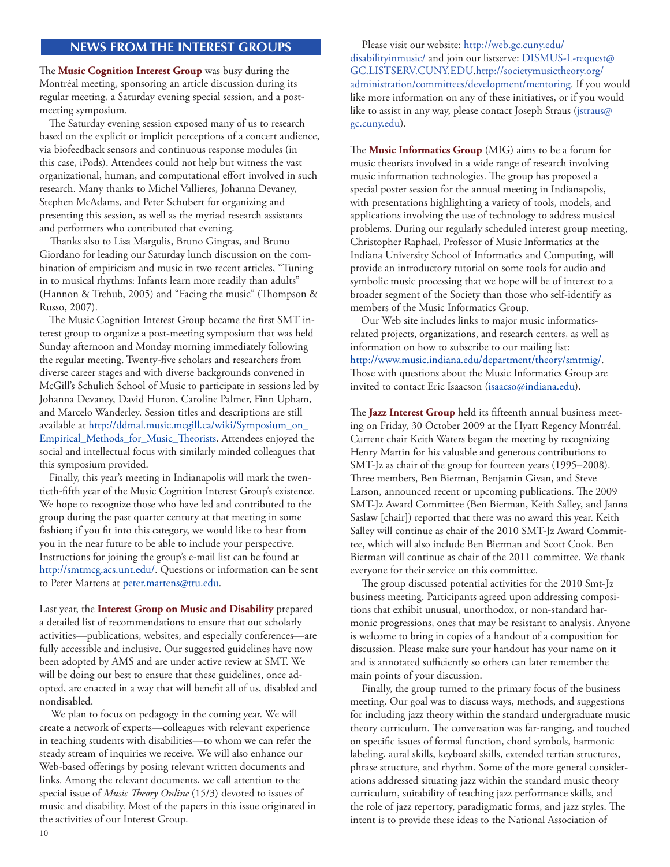# **news from the interest groups**

The **Music Cognition Interest Group** was busy during the Montréal meeting, sponsoring an article discussion during its regular meeting, a Saturday evening special session, and a postmeeting symposium.

The Saturday evening session exposed many of us to research based on the explicit or implicit perceptions of a concert audience, via biofeedback sensors and continuous response modules (in this case, iPods). Attendees could not help but witness the vast organizational, human, and computational effort involved in such research. Many thanks to Michel Vallieres, Johanna Devaney, Stephen McAdams, and Peter Schubert for organizing and presenting this session, as well as the myriad research assistants and performers who contributed that evening.

Thanks also to Lisa Margulis, Bruno Gingras, and Bruno Giordano for leading our Saturday lunch discussion on the combination of empiricism and music in two recent articles, "Tuning in to musical rhythms: Infants learn more readily than adults" (Hannon & Trehub, 2005) and "Facing the music" (Thompson & Russo, 2007).

The Music Cognition Interest Group became the first SMT interest group to organize a post-meeting symposium that was held Sunday afternoon and Monday morning immediately following the regular meeting. Twenty-five scholars and researchers from diverse career stages and with diverse backgrounds convened in McGill's Schulich School of Music to participate in sessions led by Johanna Devaney, David Huron, Caroline Palmer, Finn Upham, and Marcelo Wanderley. Session titles and descriptions are still available at [http://ddmal.music.mcgill.ca/wiki/Symposium\\_on\\_](http://ddmal.music.mcgill.ca/wiki/Symposium_on_Empirical_Methods_for_Music_Theorists) [Empirical\\_Methods\\_for\\_Music\\_Theorists.](http://ddmal.music.mcgill.ca/wiki/Symposium_on_Empirical_Methods_for_Music_Theorists) Attendees enjoyed the social and intellectual focus with similarly minded colleagues that this symposium provided.

Finally, this year's meeting in Indianapolis will mark the twentieth-fifth year of the Music Cognition Interest Group's existence. We hope to recognize those who have led and contributed to the group during the past quarter century at that meeting in some fashion; if you fit into this category, we would like to hear from you in the near future to be able to include your perspective. Instructions for joining the group's e-mail list can be found at http://smtmcg.acs.unt.edu/. Questions or information can be sent to Peter Martens at [peter.martens@ttu.edu.](mailto:peter.martens@ttu.edu)

Last year, the **Interest Group on Music and Disability** prepared a detailed list of recommendations to ensure that out scholarly activities—publications, websites, and especially conferences—are fully accessible and inclusive. Our suggested guidelines have now been adopted by AMS and are under active review at SMT. We will be doing our best to ensure that these guidelines, once adopted, are enacted in a way that will benefit all of us, disabled and nondisabled.

We plan to focus on pedagogy in the coming year. We will create a network of experts—colleagues with relevant experience in teaching students with disabilities—to whom we can refer the steady stream of inquiries we receive. We will also enhance our Web-based offerings by posing relevant written documents and links. Among the relevant documents, we call attention to the special issue of *Music Theory Online* (15/3) devoted to issues of music and disability. Most of the papers in this issue originated in the activities of our Interest Group.

Please visit our website: [http://web.gc.cuny.edu/](http://web.gc.cuny.edu/disabilityinmusic/) [disabilityinmusic/](http://web.gc.cuny.edu/disabilityinmusic/) and join our listserve: [DISMUS-L-request@](mailto:DISMUS-L-request@GC.LISTSERV.CUNY.EDU) [GC.LISTSERV.CUNY.EDU.](mailto:DISMUS-L-request@GC.LISTSERV.CUNY.EDU)http://societymusictheory.org/ administration/committees/development/mentoring. If you would like more information on any of these initiatives, or if you would like to assist in any way, please contact Joseph Straus [\(jstraus@](mailto:jstraus@gc.cuny.edu) [gc.cuny.edu\)](mailto:jstraus@gc.cuny.edu).

The **Music Informatics Group** (MIG) aims to be a forum for music theorists involved in a wide range of research involving music information technologies. The group has proposed a special poster session for the annual meeting in Indianapolis, with presentations highlighting a variety of tools, models, and applications involving the use of technology to address musical problems. During our regularly scheduled interest group meeting, Christopher Raphael, Professor of Music Informatics at the Indiana University School of Informatics and Computing, will provide an introductory tutorial on some tools for audio and symbolic music processing that we hope will be of interest to a broader segment of the Society than those who self-identify as members of the Music Informatics Group.

Our Web site includes links to major music informaticsrelated projects, organizations, and research centers, as well as information on how to subscribe to our mailing list: [http://www.music.indiana.edu/department/theory/smtmig/.](http://theory.music.indiana.edu/smtmig) Those with questions about the Music Informatics Group are invited to contact Eric Isaacson [\(isaacso@indiana.edu](mailto:isaacso@indiana.edu)).

The **Jazz Interest Group** held its fifteenth annual business meeting on Friday, 30 October 2009 at the Hyatt Regency Montréal. Current chair Keith Waters began the meeting by recognizing Henry Martin for his valuable and generous contributions to SMT-Jz as chair of the group for fourteen years (1995–2008). Three members, Ben Bierman, Benjamin Givan, and Steve Larson, announced recent or upcoming publications. The 2009 SMT-Jz Award Committee (Ben Bierman, Keith Salley, and Janna Saslaw [chair]) reported that there was no award this year. Keith Salley will continue as chair of the 2010 SMT-Jz Award Committee, which will also include Ben Bierman and Scott Cook. Ben Bierman will continue as chair of the 2011 committee. We thank everyone for their service on this committee.

The group discussed potential activities for the 2010 Smt-Jz business meeting. Participants agreed upon addressing compositions that exhibit unusual, unorthodox, or non-standard harmonic progressions, ones that may be resistant to analysis. Anyone is welcome to bring in copies of a handout of a composition for discussion. Please make sure your handout has your name on it and is annotated sufficiently so others can later remember the main points of your discussion.

Finally, the group turned to the primary focus of the business meeting. Our goal was to discuss ways, methods, and suggestions for including jazz theory within the standard undergraduate music theory curriculum. The conversation was far-ranging, and touched on specific issues of formal function, chord symbols, harmonic labeling, aural skills, keyboard skills, extended tertian structures, phrase structure, and rhythm. Some of the more general considerations addressed situating jazz within the standard music theory curriculum, suitability of teaching jazz performance skills, and the role of jazz repertory, paradigmatic forms, and jazz styles. The intent is to provide these ideas to the National Association of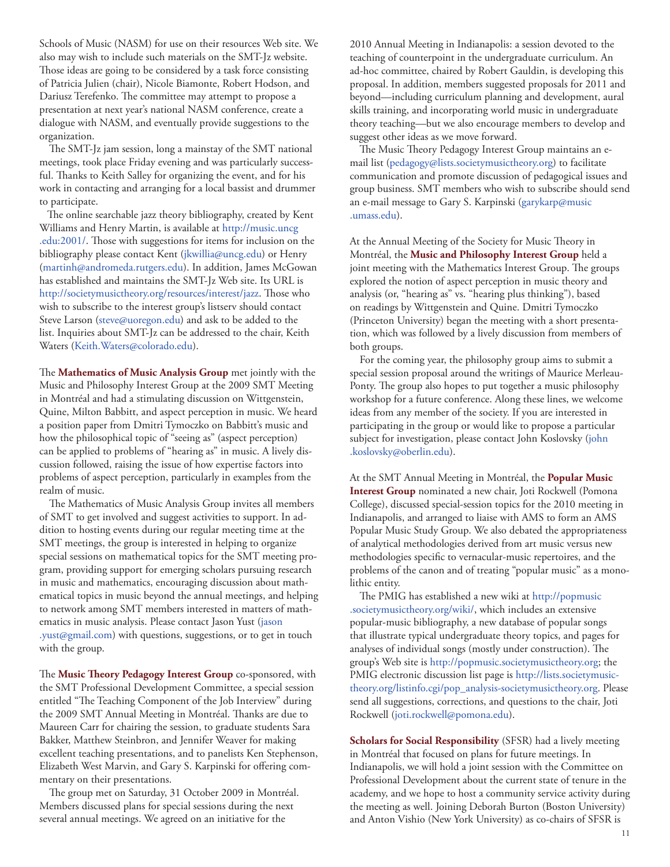Schools of Music (NASM) for use on their resources Web site. We also may wish to include such materials on the SMT-Jz website. Those ideas are going to be considered by a task force consisting of Patricia Julien (chair), Nicole Biamonte, Robert Hodson, and Dariusz Terefenko. The committee may attempt to propose a presentation at next year's national NASM conference, create a dialogue with NASM, and eventually provide suggestions to the organization.

The SMT-Jz jam session, long a mainstay of the SMT national meetings, took place Friday evening and was particularly successful. Thanks to Keith Salley for organizing the event, and for his work in contacting and arranging for a local bassist and drummer to participate.

The online searchable jazz theory bibliography, created by Kent Williams and Henry Martin, is available at [http://music.uncg](http://music.uncg.edu:2001) [.edu:2001/](http://music.uncg.edu:2001). Those with suggestions for items for inclusion on the bibliography please contact Kent [\(jkwillia@uncg.edu](mailto:jkwillia@uncg.edu)) or Henry [\(martinh@andromeda.rutgers.edu](mailto:martinh@andromeda.rutgers.edu)). In addition, James McGowan has established and maintains the SMT-Jz Web site. Its URL is [http://societymusictheory.org/resources/interest/jazz.](http://societymusictheory.org/resources/interest/jazz) Those who wish to subscribe to the interest group's listserv should contact Steve Larson [\(steve@uoregon.edu\)](mailto:steve@uoregon.edu) and ask to be added to the list. Inquiries about SMT-Jz can be addressed to the chair, Keith Waters [\(Keith.Waters@colorado.edu\)](mailto:Keith.Waters@colorado.edu).

The **Mathematics of Music Analysis Group** met jointly with the Music and Philosophy Interest Group at the 2009 SMT Meeting in Montréal and had a stimulating discussion on Wittgenstein, Quine, Milton Babbitt, and aspect perception in music. We heard a position paper from Dmitri Tymoczko on Babbitt's music and how the philosophical topic of "seeing as" (aspect perception) can be applied to problems of "hearing as" in music. A lively discussion followed, raising the issue of how expertise factors into problems of aspect perception, particularly in examples from the realm of music.

The Mathematics of Music Analysis Group invites all members of SMT to get involved and suggest activities to support. In addition to hosting events during our regular meeting time at the SMT meetings, the group is interested in helping to organize special sessions on mathematical topics for the SMT meeting program, providing support for emerging scholars pursuing research in music and mathematics, encouraging discussion about mathematical topics in music beyond the annual meetings, and helping to network among SMT members interested in matters of mathematics in music analysis. Please contact Jason Yust [\(jason](mailto:jason.yust@gmail.com) [.yust@gmail.com\)](mailto:jason.yust@gmail.com) with questions, suggestions, or to get in touch with the group.

The **Music Theory Pedagogy Interest Group** co-sponsored, with the SMT Professional Development Committee, a special session entitled "The Teaching Component of the Job Interview" during the 2009 SMT Annual Meeting in Montréal. Thanks are due to Maureen Carr for chairing the session, to graduate students Sara Bakker, Matthew Steinbron, and Jennifer Weaver for making excellent teaching presentations, and to panelists Ken Stephenson, Elizabeth West Marvin, and Gary S. Karpinski for offering commentary on their presentations.

The group met on Saturday, 31 October 2009 in Montréal. Members discussed plans for special sessions during the next several annual meetings. We agreed on an initiative for the

2010 Annual Meeting in Indianapolis: a session devoted to the teaching of counterpoint in the undergraduate curriculum. An ad-hoc committee, chaired by Robert Gauldin, is developing this proposal. In addition, members suggested proposals for 2011 and beyond—including curriculum planning and development, aural skills training, and incorporating world music in undergraduate theory teaching—but we also encourage members to develop and suggest other ideas as we move forward.

The Music Theory Pedagogy Interest Group maintains an email list [\(pedagogy@lists.societymusictheory.org](mailto:theoryped-l@uncg.edu)) to facilitate communication and promote discussion of pedagogical issues and group business. SMT members who wish to subscribe should send an e-mail message to Gary S. Karpinski ([garykarp@music](mailto:garykarp@music.umass.edu) [.umass.edu](mailto:garykarp@music.umass.edu)).

At the Annual Meeting of the Society for Music Theory in Montréal, the **Music and Philosophy Interest Group** held a joint meeting with the Mathematics Interest Group. The groups explored the notion of aspect perception in music theory and analysis (or, "hearing as" vs. "hearing plus thinking"), based on readings by Wittgenstein and Quine. Dmitri Tymoczko (Princeton University) began the meeting with a short presentation, which was followed by a lively discussion from members of both groups.

For the coming year, the philosophy group aims to submit a special session proposal around the writings of Maurice Merleau-Ponty. The group also hopes to put together a music philosophy workshop for a future conference. Along these lines, we welcome ideas from any member of the society. If you are interested in participating in the group or would like to propose a particular subject for investigation, please contact John Koslovsky [\(john](mailto:john.koslovsky@oberlin.edu) [.koslovsky@oberlin.edu\)](mailto:john.koslovsky@oberlin.edu).

At the SMT Annual Meeting in Montréal, the **Popular Music Interest Group** nominated a new chair, Joti Rockwell (Pomona College), discussed special-session topics for the 2010 meeting in Indianapolis, and arranged to liaise with AMS to form an AMS Popular Music Study Group. We also debated the appropriateness of analytical methodologies derived from art music versus new methodologies specific to vernacular-music repertoires, and the problems of the canon and of treating "popular music" as a monolithic entity.

The PMIG has established a new wiki at [http://popmusic](http://popmusic.societymusictheory.org/wiki/) [.societymusictheory.org/wiki/](http://popmusic.societymusictheory.org/wiki/), which includes an extensive popular-music bibliography, a new database of popular songs that illustrate typical undergraduate theory topics, and pages for analyses of individual songs (mostly under construction). The group's Web site is [http://popmusic.societymusictheory.org;](http://popmusic.societymusictheory.org) the PMIG electronic discussion list page is [http://lists.societymusic](http://lists.societymusictheory.org/listinfo.cgi/pop_analysis-societymusictheory.org)[theory.org/listinfo.cgi/pop\\_analysis-societymusictheory.org](http://lists.societymusictheory.org/listinfo.cgi/pop_analysis-societymusictheory.org). Please send all suggestions, corrections, and questions to the chair, Joti Rockwell ([joti.rockwell@pomona.edu](mailto:joti.rockwell@pomona.edu)).

**Scholars for Social Responsibility** (SFSR) had a lively meeting in Montréal that focused on plans for future meetings. In Indianapolis, we will hold a joint session with the Committee on Professional Development about the current state of tenure in the academy, and we hope to host a community service activity during the meeting as well. Joining Deborah Burton (Boston University) and Anton Vishio (New York University) as co-chairs of SFSR is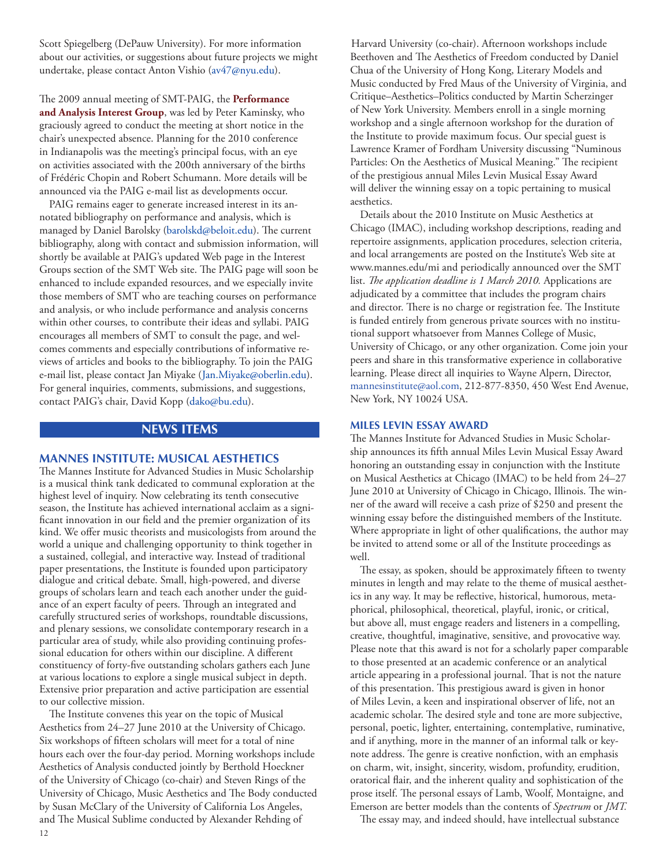<span id="page-11-0"></span>Scott Spiegelberg (DePauw University). For more information about our activities, or suggestions about future projects we might undertake, please contact Anton Vishio [\(av47@nyu.edu\)](mailto:av47@nyu.edu).

The 2009 annual meeting of SMT-PAIG, the **Performance and Analysis Interest Group**, was led by Peter Kaminsky, who graciously agreed to conduct the meeting at short notice in the chair's unexpected absence. Planning for the 2010 conference in Indianapolis was the meeting's principal focus, with an eye on activities associated with the 200th anniversary of the births of Frédéric Chopin and Robert Schumann. More details will be announced via the PAIG e-mail list as developments occur.

PAIG remains eager to generate increased interest in its annotated bibliography on performance and analysis, which is managed by Daniel Barolsky [\(barolskd@beloit.edu](mailto:barolskd@beloit.edu)). The current bibliography, along with contact and submission information, will shortly be available at PAIG's updated Web page in the Interest Groups section of the SMT Web site. The PAIG page will soon be enhanced to include expanded resources, and we especially invite those members of SMT who are teaching courses on performance and analysis, or who include performance and analysis concerns within other courses, to contribute their ideas and syllabi. PAIG encourages all members of SMT to consult the page, and welcomes comments and especially contributions of informative reviews of articles and books to the bibliography. To join the PAIG e-mail list, please contact Jan Miyake ([Jan.Miyake@oberlin.edu](mailto:Jan.Miyake@oberlin.edu)). For general inquiries, comments, submissions, and suggestions, contact PAIG's chair, David Kopp [\(dako@bu.edu](mailto:dako@bu.edu)).

# **news ITEMS**

#### **MANNES INSTITUTE: MUSICAL AESTHETICS**

The Mannes Institute for Advanced Studies in Music Scholarship is a musical think tank dedicated to communal exploration at the highest level of inquiry. Now celebrating its tenth consecutive season, the Institute has achieved international acclaim as a significant innovation in our field and the premier organization of its kind. We offer music theorists and musicologists from around the world a unique and challenging opportunity to think together in a sustained, collegial, and interactive way. Instead of traditional paper presentations, the Institute is founded upon participatory dialogue and critical debate. Small, high-powered, and diverse groups of scholars learn and teach each another under the guidance of an expert faculty of peers. Through an integrated and carefully structured series of workshops, roundtable discussions, and plenary sessions, we consolidate contemporary research in a particular area of study, while also providing continuing professional education for others within our discipline. A different constituency of forty-five outstanding scholars gathers each June at various locations to explore a single musical subject in depth. Extensive prior preparation and active participation are essential to our collective mission.

12 The Institute convenes this year on the topic of Musical Aesthetics from 24–27 June 2010 at the University of Chicago. Six workshops of fifteen scholars will meet for a total of nine hours each over the four-day period. Morning workshops include Aesthetics of Analysis conducted jointly by Berthold Hoeckner of the University of Chicago (co-chair) and Steven Rings of the University of Chicago, Music Aesthetics and The Body conducted by Susan McClary of the University of California Los Angeles, and The Musical Sublime conducted by Alexander Rehding of

Harvard University (co-chair). Afternoon workshops include Beethoven and The Aesthetics of Freedom conducted by Daniel Chua of the University of Hong Kong, Literary Models and Music conducted by Fred Maus of the University of Virginia, and Critique–Aesthetics–Politics conducted by Martin Scherzinger of New York University. Members enroll in a single morning workshop and a single afternoon workshop for the duration of the Institute to provide maximum focus. Our special guest is Lawrence Kramer of Fordham University discussing "Numinous Particles: On the Aesthetics of Musical Meaning." The recipient of the prestigious annual Miles Levin Musical Essay Award will deliver the winning essay on a topic pertaining to musical aesthetics.

Details about the 2010 Institute on Music Aesthetics at Chicago (IMAC), including workshop descriptions, reading and repertoire assignments, application procedures, selection criteria, and local arrangements are posted on the Institute's Web site at www.mannes.edu/mi and periodically announced over the SMT list. *The application deadline is 1 March 2010.* Applications are adjudicated by a committee that includes the program chairs and director. There is no charge or registration fee. The Institute is funded entirely from generous private sources with no institutional support whatsoever from Mannes College of Music, University of Chicago, or any other organization. Come join your peers and share in this transformative experience in collaborative learning. Please direct all inquiries to Wayne Alpern, Director, [mannesinstitute@aol.com,](mailto:mannesinstitute@aol.com) 212-877-8350, 450 West End Avenue, New York, NY 10024 USA.

#### **MILES LEVIN ESSAY AWARD**

The Mannes Institute for Advanced Studies in Music Scholarship announces its fifth annual Miles Levin Musical Essay Award honoring an outstanding essay in conjunction with the Institute on Musical Aesthetics at Chicago (IMAC) to be held from 24–27 June 2010 at University of Chicago in Chicago, Illinois. The winner of the award will receive a cash prize of \$250 and present the winning essay before the distinguished members of the Institute. Where appropriate in light of other qualifications, the author may be invited to attend some or all of the Institute proceedings as well.

The essay, as spoken, should be approximately fifteen to twenty minutes in length and may relate to the theme of musical aesthetics in any way. It may be reflective, historical, humorous, metaphorical, philosophical, theoretical, playful, ironic, or critical, but above all, must engage readers and listeners in a compelling, creative, thoughtful, imaginative, sensitive, and provocative way. Please note that this award is not for a scholarly paper comparable to those presented at an academic conference or an analytical article appearing in a professional journal. That is not the nature of this presentation. This prestigious award is given in honor of Miles Levin, a keen and inspirational observer of life, not an academic scholar. The desired style and tone are more subjective, personal, poetic, lighter, entertaining, contemplative, ruminative, and if anything, more in the manner of an informal talk or keynote address. The genre is creative nonfiction, with an emphasis on charm, wit, insight, sincerity, wisdom, profundity, erudition, oratorical flair, and the inherent quality and sophistication of the prose itself. The personal essays of Lamb, Woolf, Montaigne, and Emerson are better models than the contents of *Spectrum* or *JMT.*

The essay may, and indeed should, have intellectual substance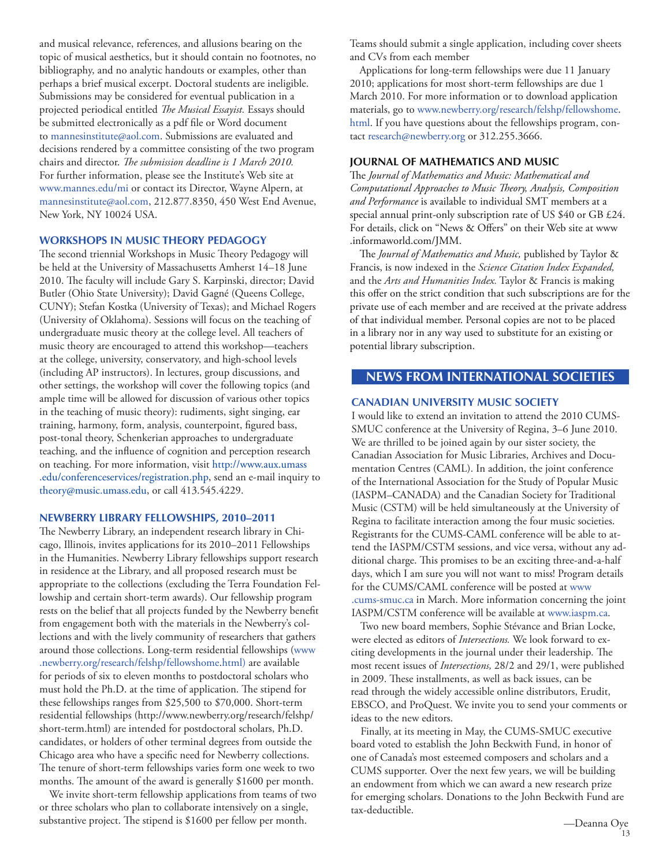<span id="page-12-0"></span>and musical relevance, references, and allusions bearing on the topic of musical aesthetics, but it should contain no footnotes, no bibliography, and no analytic handouts or examples, other than perhaps a brief musical excerpt. Doctoral students are ineligible. Submissions may be considered for eventual publication in a projected periodical entitled *The Musical Essayist.* Essays should be submitted electronically as a pdf file or Word document to mannesinstitute@aol.com. Submissions are evaluated and decisions rendered by a committee consisting of the two program chairs and director. *The submission deadline is 1 March 2010.* For further information, please see the Institute's Web site at [www.mannes.edu/mi](http://www.mannes.edu/mi) or contact its Director, Wayne Alpern, at mannesinstitute@aol.com, 212.877.8350, 450 West End Avenue, New York, NY 10024 USA.

# **WORKSHOPS IN MUSIC THEORY PEDAGOGY**

The second triennial Workshops in Music Theory Pedagogy will be held at the University of Massachusetts Amherst 14–18 June 2010. The faculty will include Gary S. Karpinski, director; David Butler (Ohio State University); David Gagné (Queens College, CUNY); Stefan Kostka (University of Texas); and Michael Rogers (University of Oklahoma). Sessions will focus on the teaching of undergraduate music theory at the college level. All teachers of music theory are encouraged to attend this workshop—teachers at the college, university, conservatory, and high-school levels (including AP instructors). In lectures, group discussions, and other settings, the workshop will cover the following topics (and ample time will be allowed for discussion of various other topics in the teaching of music theory): rudiments, sight singing, ear training, harmony, form, analysis, counterpoint, figured bass, post-tonal theory, Schenkerian approaches to undergraduate teaching, and the influence of cognition and perception research on teaching. For more information, visit [http://www.aux.umass](http://www.aux.umass.edu/conferenceservices/registration.php) [.edu/conferenceservices/registration.php,](http://www.aux.umass.edu/conferenceservices/registration.php) send an e-mail inquiry to [theory@music.umass.edu](mailto:theory@music.umass.edu), or call 413.545.4229.

#### **Newberry Library Fellowships, 2010–2011**

The Newberry Library, an independent research library in Chicago, Illinois, invites applications for its 2010–2011 Fellowships in the Humanities. Newberry Library fellowships support research in residence at the Library, and all proposed research must be appropriate to the collections (excluding the Terra Foundation Fellowship and certain short-term awards). Our fellowship program rests on the belief that all projects funded by the Newberry benefit from engagement both with the materials in the Newberry's collections and with the lively community of researchers that gathers around those collections. Long-term residential fellowships ([www](http://www.newberry.org/research/felshp/fellowshome.html) [.newberry.org/research/felshp/fellowshome.html](http://www.newberry.org/research/felshp/fellowshome.html)) are available for periods of six to eleven months to postdoctoral scholars who must hold the Ph.D. at the time of application. The stipend for these fellowships ranges from \$25,500 to \$70,000. Short-term residential fellowships (http://www.newberry.org/research/felshp/ short-term.html) are intended for postdoctoral scholars, Ph.D. candidates, or holders of other terminal degrees from outside the Chicago area who have a specific need for Newberry collections. The tenure of short-term fellowships varies form one week to two months. The amount of the award is generally \$1600 per month.

We invite short-term fellowship applications from teams of two or three scholars who plan to collaborate intensively on a single, substantive project. The stipend is \$1600 per fellow per month.

Teams should submit a single application, including cover sheets and CVs from each member

Applications for long-term fellowships were due 11 January 2010; applications for most short-term fellowships are due 1 March 2010. For more information or to download application materials, go to www.newberry.org/research/felshp/fellowshome. html. If you have questions about the fellowships program, contact research@newberry.org or 312.255.3666.

#### **JOURNAL OF MATHEMATICS AND MUSIC**

The *Journal of Mathematics and Music: Mathematical and Computational Approaches to Music Theory, Analysis, Composition and Performance* is available to individual SMT members at a special annual print-only subscription rate of US \$40 or GB £24. For details, click on "News & Offers" on their Web site at www .informaworld.com/JMM.

The *Journal of Mathematics and Music,* published by Taylor & Francis, is now indexed in the *Science Citation Index Expanded,* and the *Arts and Humanities Index.* Taylor & Francis is making this offer on the strict condition that such subscriptions are for the private use of each member and are received at the private address of that individual member. Personal copies are not to be placed in a library nor in any way used to substitute for an existing or potential library subscription.

# **news from international societies**

#### **CANADIAN UNIVERSITY MUSIC SOCIETY**

I would like to extend an invitation to attend the 2010 CUMS-SMUC conference at the University of Regina, 3–6 June 2010. We are thrilled to be joined again by our sister society, the Canadian Association for Music Libraries, Archives and Documentation Centres (CAML). In addition, the joint conference of the International Association for the Study of Popular Music (IASPM–CANADA) and the Canadian Society for Traditional Music (CSTM) will be held simultaneously at the University of Regina to facilitate interaction among the four music societies. Registrants for the CUMS-CAML conference will be able to attend the IASPM/CSTM sessions, and vice versa, without any additional charge. This promises to be an exciting three-and-a-half days, which I am sure you will not want to miss! Program details for the CUMS/CAML conference will be posted at [www](http://www.cums-smuc.ca) [.cums-smuc.ca](http://www.cums-smuc.ca) in March. More information concerning the joint IASPM/CSTM conference will be available at [www.iaspm.ca.](http://www.iaspm.ca)

Two new board members, Sophie Stévance and Brian Locke, were elected as editors of *Intersections.* We look forward to exciting developments in the journal under their leadership*.* The most recent issues of *Intersections,* 28/2 and 29/1, were published in 2009. These installments, as well as back issues, can be read through the widely accessible online distributors, Erudit, EBSCO, and ProQuest. We invite you to send your comments or ideas to the new editors.

Finally, at its meeting in May, the CUMS-SMUC executive board voted to establish the John Beckwith Fund, in honor of one of Canada's most esteemed composers and scholars and a CUMS supporter. Over the next few years, we will be building an endowment from which we can award a new research prize for emerging scholars. Donations to the John Beckwith Fund are tax-deductible.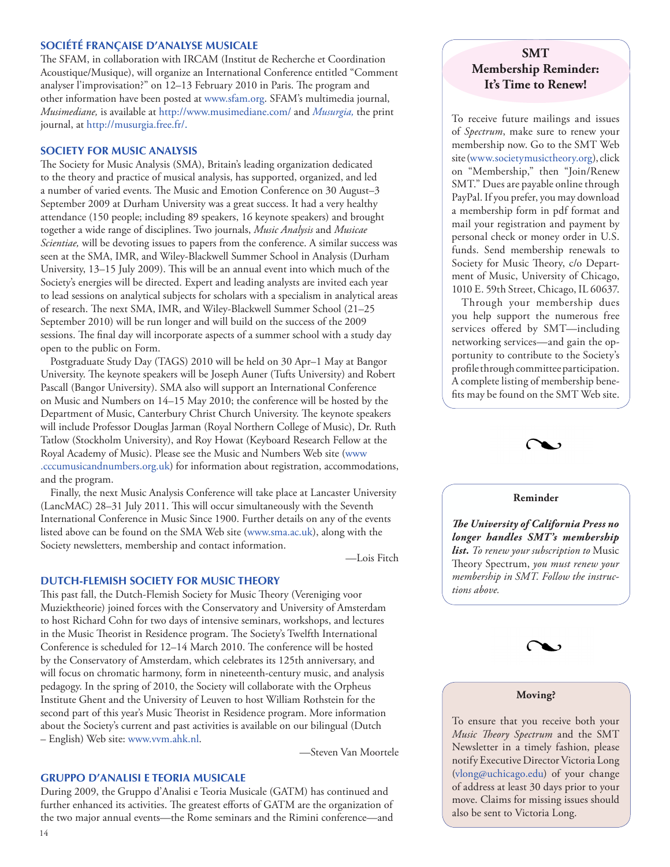# **SOCIÉTÉ FRANÇAISE D'ANALYSE MUSICALE**

The SFAM, in collaboration with IRCAM (Institut de Recherche et Coordination Acoustique/Musique), will organize an International Conference entitled "Comment analyser l'improvisation?" on 12–13 February 2010 in Paris. The program and other information have been posted at [www.sfam.org.](http://www.sfam.org) SFAM's multimedia journal, *Musimediane,* is available at<http://www.musimediane.com/> and *Musurgia,* the print journal, at [http://musurgia.free.fr/.](http://musurgia.free.fr/)

#### **SOCIETY FOR MUSIC ANALYSIS**

The Society for Music Analysis (SMA), Britain's leading organization dedicated to the theory and practice of musical analysis, has supported, organized, and led a number of varied events. The Music and Emotion Conference on 30 August–3 September 2009 at Durham University was a great success. It had a very healthy attendance (150 people; including 89 speakers, 16 keynote speakers) and brought together a wide range of disciplines. Two journals, *Music Analysis* and *Musicae Scientiae,* will be devoting issues to papers from the conference. A similar success was seen at the SMA, IMR, and Wiley-Blackwell Summer School in Analysis (Durham University, 13–15 July 2009). This will be an annual event into which much of the Society's energies will be directed. Expert and leading analysts are invited each year to lead sessions on analytical subjects for scholars with a specialism in analytical areas of research. The next SMA, IMR, and Wiley-Blackwell Summer School (21–25 September 2010) will be run longer and will build on the success of the 2009 sessions. The final day will incorporate aspects of a summer school with a study day open to the public on Form.

Postgraduate Study Day (TAGS) 2010 will be held on 30 Apr–1 May at Bangor University. The keynote speakers will be Joseph Auner (Tufts University) and Robert Pascall (Bangor University). SMA also will support an International Conference on Music and Numbers on 14–15 May 2010; the conference will be hosted by the Department of Music, Canterbury Christ Church University. The keynote speakers will include Professor Douglas Jarman (Royal Northern College of Music), Dr. Ruth Tatlow (Stockholm University), and Roy Howat (Keyboard Research Fellow at the Royal Academy of Music). Please see the Music and Numbers Web site ([www](http://www.cccumusicandnumbers.org.uk) [.cccumusicandnumbers.org.uk](http://www.cccumusicandnumbers.org.uk)) for information about registration, accommodations, and the program.

Finally, the next Music Analysis Conference will take place at Lancaster University (LancMAC) 28–31 July 2011. This will occur simultaneously with the Seventh International Conference in Music Since 1900. Further details on any of the events listed above can be found on the SMA Web site [\(www.sma.ac.uk\)](http://www.sma.ac.uk), along with the Society newsletters, membership and contact information.

—Lois Fitch

#### **DUTCH-FLEMISH SOCIETY FOR MUSIC THEORY**

This past fall, the Dutch-Flemish Society for Music Theory (Vereniging voor Muziektheorie) joined forces with the Conservatory and University of Amsterdam to host Richard Cohn for two days of intensive seminars, workshops, and lectures in the Music Theorist in Residence program. The Society's Twelfth International Conference is scheduled for 12–14 March 2010. The conference will be hosted by the Conservatory of Amsterdam, which celebrates its 125th anniversary, and will focus on chromatic harmony, form in nineteenth-century music, and analysis pedagogy. In the spring of 2010, the Society will collaborate with the Orpheus Institute Ghent and the University of Leuven to host William Rothstein for the second part of this year's Music Theorist in Residence program. More information about the Society's current and past activities is available on our bilingual (Dutch – English) Web site: [www.vvm.ahk.nl.](http://www.vvm.ahk.nl)

—Steven Van Moortele

#### **GRUPPO D'ANALISI E TEORIA MUSICALE**

During 2009, the Gruppo d'Analisi e Teoria Musicale (GATM) has continued and further enhanced its activities. The greatest efforts of GATM are the organization of the two major annual events—the Rome seminars and the Rimini conference—and

# **SMT Membership Reminder: It's Time to Renew!**

To receive future mailings and issues of *Spectrum*, make sure to renew your membership now. Go to the SMT Web site ([www.societymusictheory.org\)](http://societymusictheory.org/Events/GSWP), click on "Membership," then "Join/Renew SMT." Dues are payable online through PayPal. If you prefer, you may download a membership form in pdf format and mail your registration and payment by personal check or money order in U.S. funds. Send membership renewals to Society for Music Theory, c/o Department of Music, University of Chicago, 1010 E. 59th Street, Chicago, IL 60637.

Through your membership dues you help support the numerous free services offered by SMT—including networking services—and gain the opportunity to contribute to the Society's profile through committee participation. A complete listing of membership benefits may be found on the SMT Web site.



#### **Reminder**

*The University of California Press no longer handles SMT's membership list. To renew your subscription to* Music Theory Spectrum, *you must renew your membership in SMT. Follow the instructions above.*



#### **Moving?**

To ensure that you receive both your *Music Theory Spectrum* and the SMT Newsletter in a timely fashion, please notify Executive Director Victoria Long [\(vlong@uchicago.edu\)](mailto:vlong@uchicago.edu) of your change of address at least 30 days prior to your move. Claims for missing issues should also be sent to Victoria Long.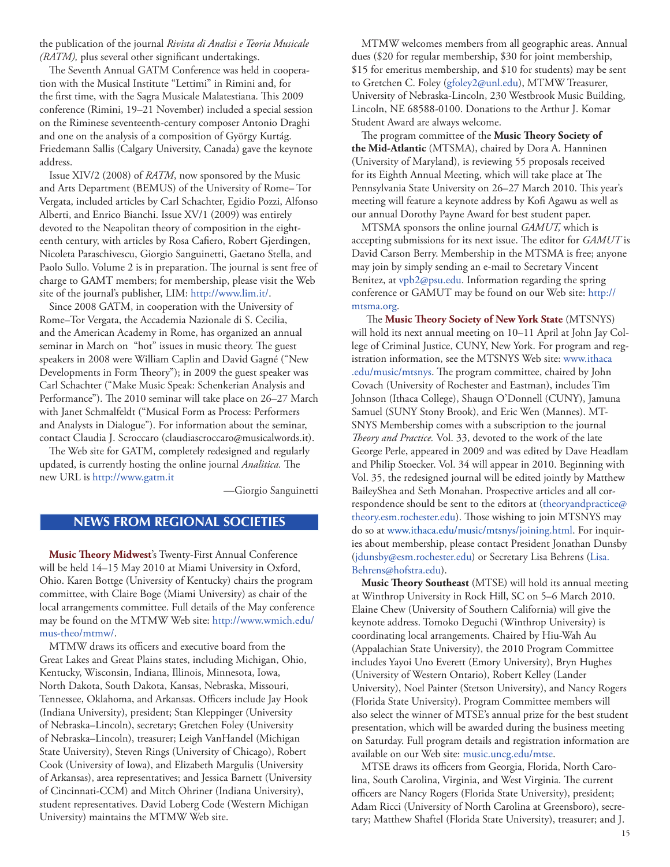<span id="page-14-0"></span>the publication of the journal *Rivista di Analisi e Teoria Musicale (RATM),* plus several other significant undertakings.

The Seventh Annual GATM Conference was held in cooperation with the Musical Institute "Lettimi" in Rimini and, for the first time, with the Sagra Musicale Malatestiana. This 2009 conference (Rimini, 19–21 November) included a special session on the Riminese seventeenth-century composer Antonio Draghi and one on the analysis of a composition of György Kurtág. Friedemann Sallis (Calgary University, Canada) gave the keynote address.

Issue XIV/2 (2008) of *RATM*, now sponsored by the Music and Arts Department (BEMUS) of the University of Rome– Tor Vergata, included articles by Carl Schachter, Egidio Pozzi, Alfonso Alberti, and Enrico Bianchi. Issue XV/1 (2009) was entirely devoted to the Neapolitan theory of composition in the eighteenth century, with articles by Rosa Cafiero, Robert Gjerdingen, Nicoleta Paraschivescu, Giorgio Sanguinetti, Gaetano Stella, and Paolo Sullo. Volume 2 is in preparation. The journal is sent free of charge to GAMT members; for membership, please visit the Web site of the journal's publisher, LIM: [http://www.lim.it/.](http://www.lim.it/)

Since 2008 GATM, in cooperation with the University of Rome–Tor Vergata, the Accademia Nazionale di S. Cecilia, and the American Academy in Rome, has organized an annual seminar in March on "hot" issues in music theory. The guest speakers in 2008 were William Caplin and David Gagné ("New Developments in Form Theory"); in 2009 the guest speaker was Carl Schachter ("Make Music Speak: Schenkerian Analysis and Performance"). The 2010 seminar will take place on 26–27 March with Janet Schmalfeldt ("Musical Form as Process: Performers and Analysts in Dialogue"). For information about the seminar, contact Claudia J. Scroccaro (claudiascroccaro@musicalwords.it).

The Web site for GATM, completely redesigned and regularly updated, is currently hosting the online journal *Analitica.* The new URL is <http://www.gatm.it>

—Giorgio Sanguinetti

# **news from regional societies**

**Music Theory Midwest**'s Twenty-First Annual Conference will be held 14–15 May 2010 at Miami University in Oxford, Ohio. Karen Bottge (University of Kentucky) chairs the program committee, with Claire Boge (Miami University) as chair of the local arrangements committee. Full details of the May conference may be found on the MTMW Web site: [http://www.wmich.edu/](http://www.wmich.edu/mus-theo/mtmw/) [mus-theo/mtmw/](http://www.wmich.edu/mus-theo/mtmw/).

MTMW draws its officers and executive board from the Great Lakes and Great Plains states, including Michigan, Ohio, Kentucky, Wisconsin, Indiana, Illinois, Minnesota, Iowa, North Dakota, South Dakota, Kansas, Nebraska, Missouri, Tennessee, Oklahoma, and Arkansas. Officers include Jay Hook (Indiana University), president; Stan Kleppinger (University of Nebraska–Lincoln), secretary; Gretchen Foley (University of Nebraska–Lincoln), treasurer; Leigh VanHandel (Michigan State University), Steven Rings (University of Chicago), Robert Cook (University of Iowa), and Elizabeth Margulis (University of Arkansas), area representatives; and Jessica Barnett (University of Cincinnati-CCM) and Mitch Ohriner (Indiana University), student representatives. David Loberg Code (Western Michigan University) maintains the MTMW Web site.

MTMW welcomes members from all geographic areas. Annual dues (\$20 for regular membership, \$30 for joint membership, \$15 for emeritus membership, and \$10 for students) may be sent to Gretchen C. Foley ([gfoley2@unl.edu\)](mailto:gfoley2@unl.edu), MTMW Treasurer, University of Nebraska-Lincoln, 230 Westbrook Music Building, Lincoln, NE 68588-0100. Donations to the Arthur J. Komar Student Award are always welcome.

The program committee of the **Music Theory Society of the Mid-Atlantic** (MTSMA), chaired by Dora A. Hanninen (University of Maryland), is reviewing 55 proposals received for its Eighth Annual Meeting, which will take place at The Pennsylvania State University on 26–27 March 2010. This year's meeting will feature a keynote address by Kofi Agawu as well as our annual Dorothy Payne Award for best student paper.

MTSMA sponsors the online journal *GAMUT,* which is accepting submissions for its next issue. The editor for *GAMUT* is David Carson Berry. Membership in the MTSMA is free; anyone may join by simply sending an e-mail to Secretary Vincent Benitez, at [vpb2@psu.edu.](mailto:vpb2@psu.edu) Information regarding the spring conference or GAMUT may be found on our Web site: [http://](http://www.mtsma.org) [mtsma.org.](http://www.mtsma.org)

The **Music Theory Society of New York State** (MTSNYS) will hold its next annual meeting on 10–11 April at John Jay College of Criminal Justice, CUNY, New York. For program and registration information, see the MTSNYS Web site: [www.ithaca](http://www.ithaca.edu/music/mtsnys) [.edu/music/mtsnys](http://www.ithaca.edu/music/mtsnys). The program committee, chaired by John Covach (University of Rochester and Eastman), includes Tim Johnson (Ithaca College), Shaugn O'Donnell (CUNY), Jamuna Samuel (SUNY Stony Brook), and Eric Wen (Mannes). MT-SNYS Membership comes with a subscription to the journal *Theory and Practice.* Vol. 33, devoted to the work of the late George Perle, appeared in 2009 and was edited by Dave Headlam and Philip Stoecker. Vol. 34 will appear in 2010. Beginning with Vol. 35, the redesigned journal will be edited jointly by Matthew BaileyShea and Seth Monahan. Prospective articles and all correspondence should be sent to the editors at [\(theoryandpractice@](mailto:theoryandpractice@theory.esm.rochester.edu) [theory.esm.rochester.edu](mailto:theoryandpractice@theory.esm.rochester.edu)). Those wishing to join MTSNYS may do so at [www.ithaca.edu/music/mtsnys/joining.html](http://www.ithaca.edu/music/mtsnys/joining.html). For inquiries about membership, please contact President Jonathan Dunsby ([jdunsby@esm.rochester.edu](mailto:jdunsby@esm.rochester.edu)) or Secretary Lisa Behrens [\(Lisa.](mailto:Lisa.Behrens@hofstra.edu) [Behrens@hofstra.edu](mailto:Lisa.Behrens@hofstra.edu)).

**Music Theory Southeast** (MTSE) will hold its annual meeting at Winthrop University in Rock Hill, SC on 5–6 March 2010. Elaine Chew (University of Southern California) will give the keynote address. Tomoko Deguchi (Winthrop University) is coordinating local arrangements. Chaired by Hiu-Wah Au (Appalachian State University), the 2010 Program Committee includes Yayoi Uno Everett (Emory University), Bryn Hughes (University of Western Ontario), Robert Kelley (Lander University), Noel Painter (Stetson University), and Nancy Rogers (Florida State University). Program Committee members will also select the winner of MTSE's annual prize for the best student presentation, which will be awarded during the business meeting on Saturday. Full program details and registration information are available on our Web site: [music.uncg.edu/mtse](http://music.uncg.edu/mtse).

MTSE draws its officers from Georgia, Florida, North Carolina, South Carolina, Virginia, and West Virginia. The current officers are Nancy Rogers (Florida State University), president; Adam Ricci (University of North Carolina at Greensboro), secretary; Matthew Shaftel (Florida State University), treasurer; and J.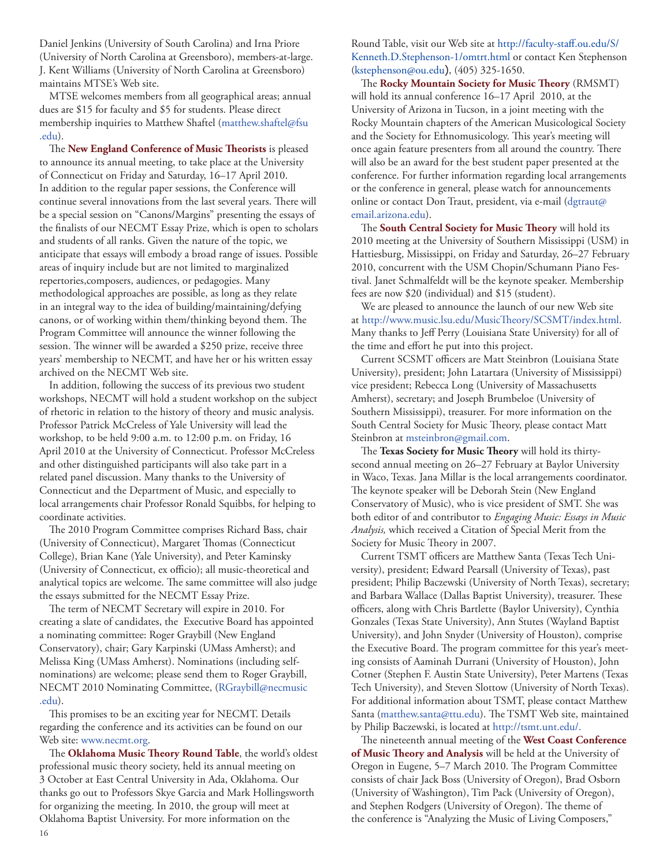Daniel Jenkins (University of South Carolina) and Irna Priore (University of North Carolina at Greensboro), members-at-large. J. Kent Williams (University of North Carolina at Greensboro) maintains MTSE's Web site.

MTSE welcomes members from all geographical areas; annual dues are \$15 for faculty and \$5 for students. Please direct membership inquiries to Matthew Shaftel [\(matthew.shaftel@fsu](mailto:matthew.shaftel@fsu.edu) [.edu\)](mailto:matthew.shaftel@fsu.edu).

The **New England Conference of Music Theorists** is pleased to announce its annual meeting, to take place at the University of Connecticut on Friday and Saturday, 16–17 April 2010. In addition to the regular paper sessions, the Conference will continue several innovations from the last several years. There will be a special session on "Canons/Margins" presenting the essays of the finalists of our NECMT Essay Prize, which is open to scholars and students of all ranks. Given the nature of the topic, we anticipate that essays will embody a broad range of issues. Possible areas of inquiry include but are not limited to marginalized repertories,composers, audiences, or pedagogies. Many methodological approaches are possible, as long as they relate in an integral way to the idea of building/maintaining/defying canons, or of working within them/thinking beyond them. The Program Committee will announce the winner following the session. The winner will be awarded a \$250 prize, receive three years' membership to NECMT, and have her or his written essay archived on the NECMT Web site.

In addition, following the success of its previous two student workshops, NECMT will hold a student workshop on the subject of rhetoric in relation to the history of theory and music analysis. Professor Patrick McCreless of Yale University will lead the workshop, to be held 9:00 a.m. to 12:00 p.m. on Friday, 16 April 2010 at the University of Connecticut. Professor McCreless and other distinguished participants will also take part in a related panel discussion. Many thanks to the University of Connecticut and the Department of Music, and especially to local arrangements chair Professor Ronald Squibbs, for helping to coordinate activities.

The 2010 Program Committee comprises Richard Bass, chair (University of Connecticut), Margaret Thomas (Connecticut College), Brian Kane (Yale University), and Peter Kaminsky (University of Connecticut, ex officio); all music-theoretical and analytical topics are welcome. The same committee will also judge the essays submitted for the NECMT Essay Prize.

The term of NECMT Secretary will expire in 2010. For creating a slate of candidates, the Executive Board has appointed a nominating committee: Roger Graybill (New England Conservatory), chair; Gary Karpinski (UMass Amherst); and Melissa King (UMass Amherst). Nominations (including selfnominations) are welcome; please send them to Roger Graybill, NECMT 2010 Nominating Committee, ([RGraybill@necmusic](mailto:RGraybill@necmusic.edu) [.edu\)](mailto:RGraybill@necmusic.edu).

This promises to be an exciting year for NECMT. Details regarding the conference and its activities can be found on our Web site: [www.necmt.org.](http://www.necmt.org)

The **Oklahoma Music Theory Round Table**, the world's oldest professional music theory society, held its annual meeting on 3 October at East Central University in Ada, Oklahoma. Our thanks go out to Professors Skye Garcia and Mark Hollingsworth for organizing the meeting. In 2010, the group will meet at Oklahoma Baptist University. For more information on the

Round Table, visit our Web site at [http://faculty-staff.ou.edu/S/](http://faculty-staff.ou.edu/S/Kenneth.D.Stephenson-1/omtrt.html) [Kenneth.D.Stephenson-1/omtrt.html](http://faculty-staff.ou.edu/S/Kenneth.D.Stephenson-1/omtrt.html) or contact Ken Stephenson [\(kstephenson@ou.edu](mailto:kstephenson@ou.edu)), (405) 325-1650.

The **Rocky Mountain Society for Music Theory** (RMSMT) will hold its annual conference 16–17 April 2010, at the University of Arizona in Tucson, in a joint meeting with the Rocky Mountain chapters of the American Musicological Society and the Society for Ethnomusicology. This year's meeting will once again feature presenters from all around the country. There will also be an award for the best student paper presented at the conference. For further information regarding local arrangements or the conference in general, please watch for announcements online or contact Don Traut, president, via e-mail ([dgtraut@](mailto:dgtraut@email.arizona.edu) [email.arizona.edu\)](mailto:dgtraut@email.arizona.edu).

The **South Central Society for Music Theory** will hold its 2010 meeting at the University of Southern Mississippi (USM) in Hattiesburg, Mississippi, on Friday and Saturday, 26–27 February 2010, concurrent with the USM Chopin/Schumann Piano Festival. Janet Schmalfeldt will be the keynote speaker. Membership fees are now \$20 (individual) and \$15 (student).

We are pleased to announce the launch of our new Web site at [http://www.music.lsu.edu/MusicTheory/SCSMT/index.html.](http://www.music.lsu.edu/MusicTheory/SCSMT/index.html) Many thanks to Jeff Perry (Louisiana State University) for all of the time and effort he put into this project.

Current SCSMT officers are Matt Steinbron (Louisiana State University), president; John Latartara (University of Mississippi) vice president; Rebecca Long (University of Massachusetts Amherst), secretary; and Joseph Brumbeloe (University of Southern Mississippi), treasurer. For more information on the South Central Society for Music Theory, please contact Matt Steinbron at [msteinbron@gmail.com.](mailto:msteinbron@gmail.com)

The **Texas Society for Music Theory** will hold its thirtysecond annual meeting on 26–27 February at Baylor University in Waco, Texas. Jana Millar is the local arrangements coordinator. The keynote speaker will be Deborah Stein (New England Conservatory of Music), who is vice president of SMT. She was both editor of and contributor to *Engaging Music: Essays in Music Analysis,* which received a Citation of Special Merit from the Society for Music Theory in 2007.

Current TSMT officers are Matthew Santa (Texas Tech University), president; Edward Pearsall (University of Texas), past president; Philip Baczewski (University of North Texas), secretary; and Barbara Wallace (Dallas Baptist University), treasurer. These officers, along with Chris Bartlette (Baylor University), Cynthia Gonzales (Texas State University), Ann Stutes (Wayland Baptist University), and John Snyder (University of Houston), comprise the Executive Board. The program committee for this year's meeting consists of Aaminah Durrani (University of Houston), John Cotner (Stephen F. Austin State University), Peter Martens (Texas Tech University), and Steven Slottow (University of North Texas). For additional information about TSMT, please contact Matthew Santa ([matthew.santa@ttu.edu\)](mailto:matthew.santa@ttu.edu). The TSMT Web site, maintained by Philip Baczewski, is located at [http://tsmt.unt.edu/.](http://tsmt.unt.edu)

The nineteenth annual meeting of the **West Coast Conference of Music Theory and Analysis** will be held at the University of Oregon in Eugene, 5–7 March 2010. The Program Committee consists of chair Jack Boss (University of Oregon), Brad Osborn (University of Washington), Tim Pack (University of Oregon), and Stephen Rodgers (University of Oregon). The theme of the conference is "Analyzing the Music of Living Composers,"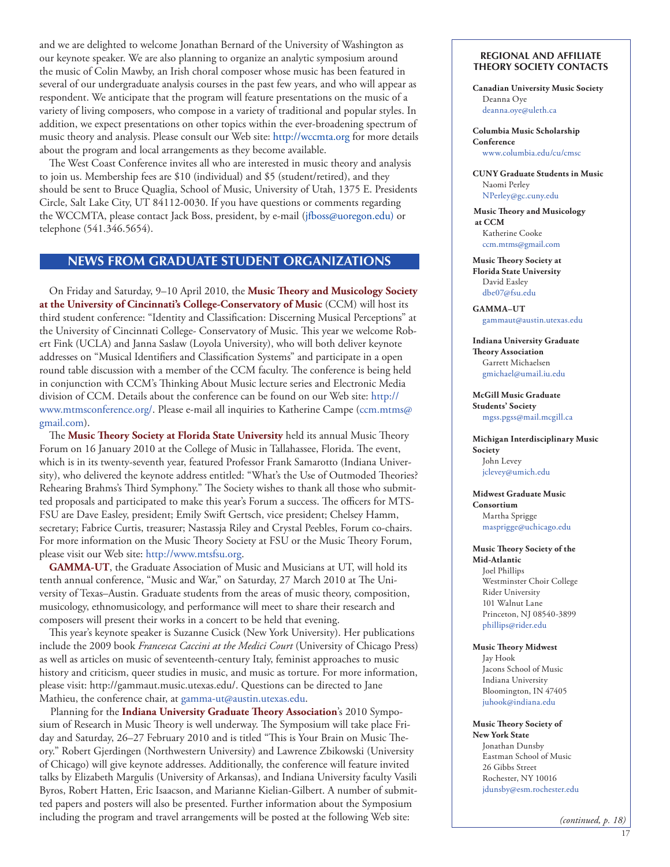<span id="page-16-0"></span>and we are delighted to welcome Jonathan Bernard of the University of Washington as our keynote speaker. We are also planning to organize an analytic symposium around the music of Colin Mawby, an Irish choral composer whose music has been featured in several of our undergraduate analysis courses in the past few years, and who will appear as respondent. We anticipate that the program will feature presentations on the music of a variety of living composers, who compose in a variety of traditional and popular styles. In addition, we expect presentations on other topics within the ever-broadening spectrum of music theory and analysis. Please consult our Web site: [http://wccmta.org](http://wccmta.org/) for more details about the program and local arrangements as they become available.

The West Coast Conference invites all who are interested in music theory and analysis to join us. Membership fees are \$10 (individual) and \$5 (student/retired), and they should be sent to Bruce Quaglia, School of Music, University of Utah, 1375 E. Presidents Circle, Salt Lake City, UT 84112-0030. If you have questions or comments regarding the WCCMTA, please contact Jack Boss, president, by e-mail (jfboss@uoregon.edu) or telephone (541.346.5654).

# **news from graduate student organizations**

On Friday and Saturday, 9–10 April 2010, the **Music Theory and Musicology Society at the University of Cincinnati's College-Conservatory of Music** (CCM) will host its third student conference: "Identity and Classification: Discerning Musical Perceptions" at the University of Cincinnati College- Conservatory of Music. This year we welcome Robert Fink (UCLA) and Janna Saslaw (Loyola University), who will both deliver keynote addresses on "Musical Identifiers and Classification Systems" and participate in a open round table discussion with a member of the CCM faculty. The conference is being held in conjunction with CCM's Thinking About Music lecture series and Electronic Media division of CCM. Details about the conference can be found on our Web site: [http://](http://www.mtmsconference.org/) [www.mtmsconference.org/](http://www.mtmsconference.org/). Please e-mail all inquiries to Katherine Campe ([ccm.mtms@](mailto:ccm.mtms@gmail.com) [gmail.com\)](mailto:ccm.mtms@gmail.com).

The **Music Theory Society at Florida State University** held its annual Music Theory Forum on 16 January 2010 at the College of Music in Tallahassee, Florida. The event, which is in its twenty-seventh year, featured Professor Frank Samarotto (Indiana University), who delivered the keynote address entitled: "What's the Use of Outmoded Theories? Rehearing Brahms's Third Symphony." The Society wishes to thank all those who submitted proposals and participated to make this year's Forum a success. The officers for MTS-FSU are Dave Easley, president; Emily Swift Gertsch, vice president; Chelsey Hamm, secretary; Fabrice Curtis, treasurer; Nastassja Riley and Crystal Peebles, Forum co-chairs. For more information on the Music Theory Society at FSU or the Music Theory Forum, please visit our Web site: [http://www.mtsfsu.org.](http://www.mtsfsu.org)

**GAMMA-UT**, the Graduate Association of Music and Musicians at UT, will hold its tenth annual conference, "Music and War," on Saturday, 27 March 2010 at The University of Texas–Austin. Graduate students from the areas of music theory, composition, musicology, ethnomusicology, and performance will meet to share their research and composers will present their works in a concert to be held that evening.

This year's keynote speaker is Suzanne Cusick (New York University). Her publications include the 2009 book *Francesca Caccini at the Medici Court* (University of Chicago Press) as well as articles on music of seventeenth-century Italy, feminist approaches to music history and criticism, queer studies in music, and music as torture. For more information, please visit: http://gammaut.music.utexas.edu/. Questions can be directed to Jane Mathieu, the conference chair, at [gamma-ut@austin.utexas.edu](mailto:gamma-ut@austin.utexas.edu).

Planning for the **Indiana University Graduate Theory Association**'s 2010 Symposium of Research in Music Theory is well underway. The Symposium will take place Friday and Saturday, 26–27 February 2010 and is titled "This is Your Brain on Music Theory." Robert Gjerdingen (Northwestern University) and Lawrence Zbikowski (University of Chicago) will give keynote addresses. Additionally, the conference will feature invited talks by Elizabeth Margulis (University of Arkansas), and Indiana University faculty Vasili Byros, Robert Hatten, Eric Isaacson, and Marianne Kielian-Gilbert. A number of submitted papers and posters will also be presented. Further information about the Symposium including the program and travel arrangements will be posted at the following Web site:

#### **Regional and Affiliate Theory Society Contacts**

**Canadian University Music Society** Deanna Oye deanna.oye@uleth[.ca](mailto:James_Deaville@Carleton.ca)

#### **Columbia Music Scholarship Conference**

[www.columbia.edu/cu/cmsc](http://www.columbia.edu/cu/cmsc)

**CUNY Graduate Students in Music** Naomi Perley [NPerley@gc.cuny.edu](mailto:NPerley@gc.cuny.edu)

**Music Theory and Musicology at CCM** Katherine Cooke [ccm.mtms@gmail.com](mailto:ccm.mtms@gmail.com)

**Music Theory Society at Florida State University** David Easley [dbe07@fsu.edu](mailto:dbe07@fsu.edu)

**GAMMA–UT** [gammaut@austin.utexas.edu](mailto:gammaut@austin.utexas.edu)

**Indiana University Graduate Theory Association** Garrett Michaelsen [gmichael@umail.iu.edu](mailto:gmichael@umail.iu.edu)

**McGill Music Graduate Students' Society** [mgss.pgss@mail.mcgill.ca](mailto:mgss.pgss@mail.mcgill.ca)

**Michigan Interdisciplinary Music Society**  John Levey [jclevey@umich.edu](mailto:jclevey@umich.edu )

**Midwest Graduate Music Consortium**

Martha Sprigge [masprigge@uchicago.edu](mailto:masprigge@uchicago.edu)

### **Music Theory Society of the**

**Mid-Atlantic** Joel Phillips Westminster Choir College Rider University 101 Walnut Lane Princeton, NJ 08540-3899 [phillips@rider.edu](mailto:phillips@rider.edu)

#### **Music Theory Midwest**

Jay Hook Jacons School of Music Indiana University Bloomington, IN 47405 [juhook@indiana.edu](mailto:juhook@indiana.edu)

#### **Music Theory Society of New York State**

Jonathan Dunsby Eastman School of Music 26 Gibbs Street Rochester, NY 10016 [jdunsby@esm.rochester.edu](mailto:jdunsby@esm.rochester.edu)

*(continued, p. 18)*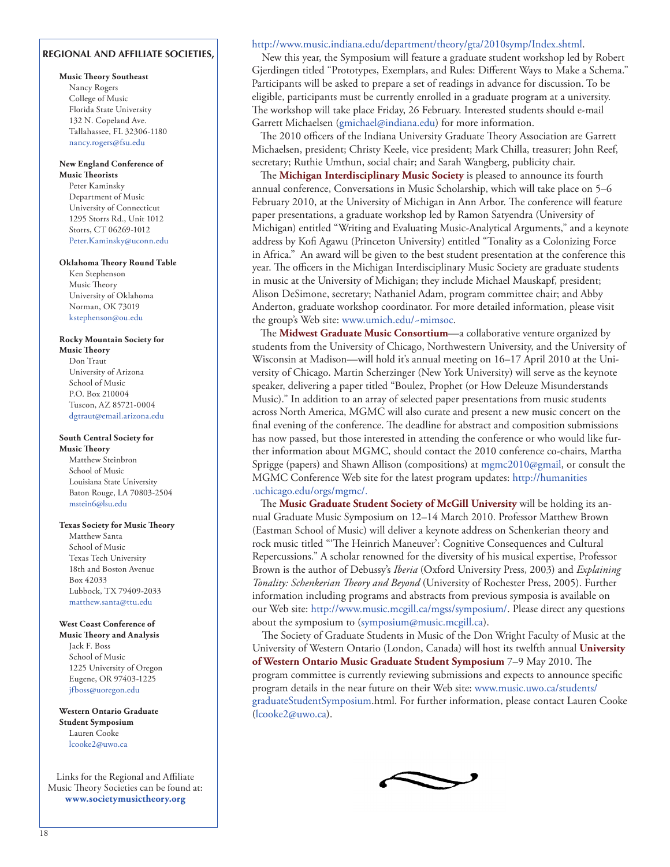# **Regional and affiliate societies,**

#### **Music Theory Southeast**

Nancy Rogers College of Music Florida State University 132 N. Copeland Ave. Tallahassee, FL 32306-1180 [nancy.rogers@fsu.edu](mailto:nancy.rogers@fsu.edu)

#### **New England Conference of**

**Music Theorists** Peter Kaminsky Department of Music University of Connecticut 1295 Storrs Rd., Unit 1012 Storrs, CT 06269-1012 [Peter.Kaminsky@uconn.edu](mailto:Peter.Kaminsky@uconn.edu)

#### **Oklahoma Theory Round Table**

Ken Stephenson Music Theory University of Oklahoma Norman, OK 73019 [kstephenson@ou.edu](mailto:kstephenson@ou.edu)

#### **Rocky Mountain Society for Music Theory**

Don Traut University of Arizona School of Music P.O. Box 210004 Tuscon, AZ 85721-0004 [dgtraut@email.arizona.edu](mailto:dgtraut@email.arizona.edu)

#### **South Central Society for**

**Music Theory** Matthew Steinbron School of Music Louisiana State University Baton Rouge, LA 70803-2504 mstein6@lsu.edu

#### **Texas Society for Music Theory**

Matthew Santa School of Music Texas Tech University 18th and Boston Avenue Box 42033 Lubbock, TX 79409-2033 matthew.santa@ttu.edu

#### **West Coast Conference of**

**Music Theory and Analysis** Jack F. Boss School of Music 1225 University of Oregon Eugene, OR 97403-1225 [jfboss@uoregon.edu](mailto:jfboss@uoregon.edu)

**Western Ontario Graduate Student Symposium** Lauren Cooke [lcooke2@uwo.ca](mailto:lcooke2@uwo.ca)

Links for the Regional and Affiliate Music Theory Societies can be found at: **[www.societymusictheory.org](http://societymusictheory.org/Events/GSWP)**

#### <http://www.music.indiana.edu/department/theory/gta/2010symp/Index.shtml>.

New this year, the Symposium will feature a graduate student workshop led by Robert Gjerdingen titled "Prototypes, Exemplars, and Rules: Different Ways to Make a Schema." Participants will be asked to prepare a set of readings in advance for discussion. To be eligible, participants must be currently enrolled in a graduate program at a university. The workshop will take place Friday, 26 February. Interested students should e-mail Garrett Michaelsen [\(gmichael@indiana.edu\)](mailto:gmichael@indiana.edu) for more information.

The 2010 officers of the Indiana University Graduate Theory Association are Garrett Michaelsen, president; Christy Keele, vice president; Mark Chilla, treasurer; John Reef, secretary; Ruthie Umthun, social chair; and Sarah Wangberg, publicity chair.

The **Michigan Interdisciplinary Music Society** is pleased to announce its fourth annual conference, Conversations in Music Scholarship, which will take place on 5–6 February 2010, at the University of Michigan in Ann Arbor. The conference will feature paper presentations, a graduate workshop led by Ramon Satyendra (University of Michigan) entitled "Writing and Evaluating Music-Analytical Arguments," and a keynote address by Kofi Agawu (Princeton University) entitled "Tonality as a Colonizing Force in Africa." An award will be given to the best student presentation at the conference this year. The officers in the Michigan Interdisciplinary Music Society are graduate students in music at the University of Michigan; they include Michael Mauskapf, president; Alison DeSimone, secretary; Nathaniel Adam, program committee chair; and Abby Anderton, graduate workshop coordinator. For more detailed information, please visit the group's Web site: www.umich.edu/~mimsoc.

The **Midwest Graduate Music Consortium**—a collaborative venture organized by students from the University of Chicago, Northwestern University, and the University of Wisconsin at Madison—will hold it's annual meeting on 16–17 April 2010 at the University of Chicago. Martin Scherzinger (New York University) will serve as the keynote speaker, delivering a paper titled "Boulez, Prophet (or How Deleuze Misunderstands Music)." In addition to an array of selected paper presentations from music students across North America, MGMC will also curate and present a new music concert on the final evening of the conference. The deadline for abstract and composition submissions has now passed, but those interested in attending the conference or who would like further information about MGMC, should contact the 2010 conference co-chairs, Martha Sprigge (papers) and Shawn Allison (compositions) at [mgmc2010@gmail](mailto:mgmc2010@gmail), or consult the MGMC Conference Web site for the latest program updates: [http://humanities](http://humanities.uchicago.edu/orgs/mgmc) [.uchicago.edu/orgs/mgmc/.](http://humanities.uchicago.edu/orgs/mgmc)

The **Music Graduate Student Society of McGill University** will be holding its annual Graduate Music Symposium on 12–14 March 2010. Professor Matthew Brown (Eastman School of Music) will deliver a keynote address on Schenkerian theory and rock music titled "'The Heinrich Maneuver': Cognitive Consequences and Cultural Repercussions." A scholar renowned for the diversity of his musical expertise, Professor Brown is the author of Debussy's *Iberia* (Oxford University Press, 2003) and *Explaining Tonality: Schenkerian Theory and Beyond* (University of Rochester Press, 2005). Further information including programs and abstracts from previous symposia is available on our Web site: [http://www.music.mcgill.ca/mgss/symposium/.](http://www.music.mcgill.ca/mgss/symposium) Please direct any questions about the symposium to [\(symposium@music.mcgill.ca\)](mailto:symposium@music.mcgill.ca).

The Society of Graduate Students in Music of the Don Wright Faculty of Music at the University of Western Ontario (London, Canada) will host its twelfth annual **University of Western Ontario Music Graduate Student Symposium** 7–9 May 2010. The program committee is currently reviewing submissions and expects to announce specific program details in the near future on their Web site: [www.music.uwo.ca/students/](http://www.music.uwo.ca/students/graduateStudentSymposium.html) [graduateStudentSymposium.](http://www.music.uwo.ca/students/graduateStudentSymposium.html)html. For further information, please contact Lauren Cooke ([lcooke2@uwo.ca](mailto:lcooke2@uwo.ca)).

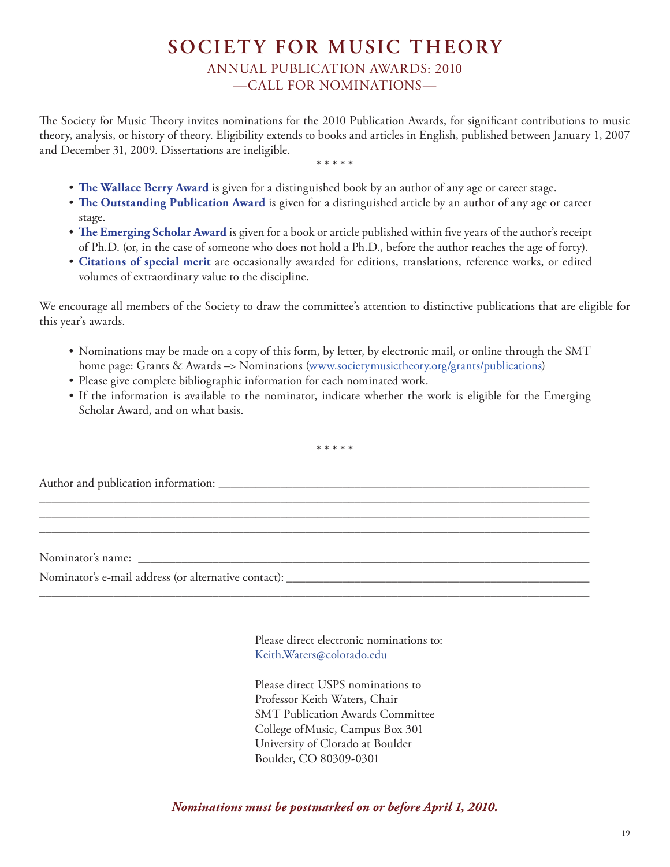# **SOCIETY FOR MUSIC THEORY** ANNUAL PUBLICATION AWARDS: 2010 —CALL FOR NOMINATIONS—

<span id="page-18-0"></span>The Society for Music Theory invites nominations for the 2010 Publication Awards, for significant contributions to music theory, analysis, or history of theory. Eligibility extends to books and articles in English, published between January 1, 2007 and December 31, 2009. Dissertations are ineligible. \* \* \* \* \*

- 
- **The Wallace Berry Award** is given for a distinguished book by an author of any age or career stage.
- **The Outstanding Publication Award** is given for a distinguished article by an author of any age or career stage.
- **The Emerging Scholar Award** is given for a book or article published within five years of the author's receipt of Ph.D. (or, in the case of someone who does not hold a Ph.D., before the author reaches the age of forty).
- **Citations of special merit** are occasionally awarded for editions, translations, reference works, or edited volumes of extraordinary value to the discipline.

We encourage all members of the Society to draw the committee's attention to distinctive publications that are eligible for this year's awards.

- Nominations may be made on a copy of this form, by letter, by electronic mail, or online through the SMT home page: Grants & Awards –> Nominations [\(www.societymusictheory.org/grants/publications\)](http://societymusictheory.org/grants/publications)
- Please give complete bibliographic information for each nominated work.
- If the information is available to the nominator, indicate whether the work is eligible for the Emerging Scholar Award, and on what basis.

\* \* \* \* \*

\_\_\_\_\_\_\_\_\_\_\_\_\_\_\_\_\_\_\_\_\_\_\_\_\_\_\_\_\_\_\_\_\_\_\_\_\_\_\_\_\_\_\_\_\_\_\_\_\_\_\_\_\_\_\_\_\_\_\_\_\_\_\_\_\_\_\_\_\_\_\_\_\_\_\_\_\_\_\_\_\_\_\_\_\_\_\_\_\_ \_\_\_\_\_\_\_\_\_\_\_\_\_\_\_\_\_\_\_\_\_\_\_\_\_\_\_\_\_\_\_\_\_\_\_\_\_\_\_\_\_\_\_\_\_\_\_\_\_\_\_\_\_\_\_\_\_\_\_\_\_\_\_\_\_\_\_\_\_\_\_\_\_\_\_\_\_\_\_\_\_\_\_\_\_\_\_\_\_

Author and publication information: \_\_\_\_\_\_\_\_\_\_\_\_\_\_\_\_\_\_\_\_\_\_\_\_\_\_\_\_\_\_\_\_\_\_\_\_\_\_\_\_\_\_\_\_\_\_\_\_\_\_\_\_\_\_\_\_\_\_\_\_

Nominator's name: \_\_\_\_\_\_\_\_\_\_\_\_\_\_\_\_\_\_\_\_\_\_\_\_\_\_\_\_\_\_\_\_\_\_\_\_\_\_\_\_\_\_\_\_\_\_\_\_\_\_\_\_\_\_\_\_\_\_\_\_\_\_\_\_\_\_\_\_\_\_\_\_\_

Nominator's e-mail address (or alternative contact): \_\_\_\_\_\_\_\_\_\_\_\_\_\_\_\_\_\_\_\_\_\_\_\_\_\_\_\_\_\_\_\_\_\_\_\_\_\_\_\_\_\_\_\_\_\_\_\_\_

Please direct electronic nominations to: [Keith.Waters@colorado.edu](mailto:Keith.Waters@colorado.edu)

Please direct USPS nominations to Professor Keith Waters, Chair SMT Publication Awards Committee College ofMusic, Campus Box 301 University of Clorado at Boulder Boulder, CO 80309-0301

*Nominations must be postmarked on or before April 1, 2010.*